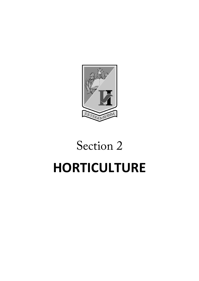

# Section 2 **HORTICULTURE**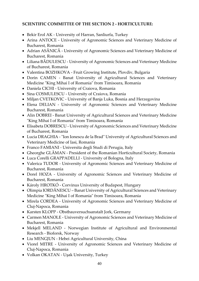# **SCIENTIFIC COMMITTEE OF THE SECTION 2 - HORTICULTURE:**

- Bekir Erol AK University of Harran, Sanliurfa, Turkey
- Arina ANTOCE University of Agronomic Sciences and Veterinary Medicine of Bucharest, Romania
- Adrian ASĂNICĂ University of Agronomic Sciences and Veterinary Medicine of Bucharest, Romania
- Liliana BĂDULESCU University of Agronomic Sciences and Veterinary Medicine of Bucharest, Romania
- Valentina BOZHKOVA Fruit Growing Institute, Plovdiv, Bulgaria
- Dorin CAMEN Banat University of Agricultural Sciences and Veterinary Medicine "King Mihai I of Romania" from Timisoara, Romania
- Daniela CICHI University of Craiova, Romania
- Sina COSMULESCU University of Craiova, Romania
- Miljan CVETKOVIC University of Banja Luka, Bosnia and Herzegovina
- Elena DELIAN University of Agronomic Sciences and Veterinary Medicine Bucharest, Romania
- Alin DOBREI Banat University of Agricultural Sciences and Veterinary Medicine "King Mihai I of Romania" from Timisoara, Romania
- Elisabeta DOBRESCU University of Agronomic Sciences and Veterinary Medicine of Bucharest, Romania
- Lucia DRAGHIA "Ion Ionescu de la Brad" University of Agricultural Sciences and Veterinary Medicine of Iasi, Romania
- Franco FAMIANI Universita degli Studi di Perugia, Italy
- Gheorghe GLĂMAN President of the Romanian Horticultural Society, Romania
- Luca Corelli GRAPPADELLI University of Bologna, Italy
- Valerica TUDOR University of Agronomic Sciences and Veterinary Medicine of Bucharest, Romania
- Dorel HOZA University of Agronomic Sciences and Veterinary Medicine of Bucharest, Romania
- Károly HROTKÓ Corvinus University of Budapest, Hungary
- Olimpia IORDĂNESCU Banat University of Agricultural Sciences and Veterinary Medicine "King Mihai I of Romania" from Timisoara, Romania
- Mirela CORDEA University of Agronomic Sciences and Veterinary Medicine of Cluj-Napoca, Romania
- Karsten KLOPP Obstbauversuchsanstalt Jork, Germany
- Carmen MANOLE University of Agronomic Sciences and Veterinary Medicine of Bucharest, Romania
- Mekjell MELAND Norwegian Institute of Agricultural and Environmental Research - Bioforsk, Norway
- Liu MENGJUN Hebei Agricultural University, China
- Viorel MITRE University of Agronomic Sciences and Veterinary Medicine of Cluj-Napoca, Romania
- Volkan OKATAN Uşak University, Turkey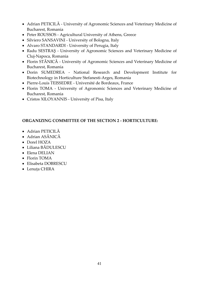- Adrian PETICILĂ University of Agronomic Sciences and Veterinary Medicine of Bucharest, Romania
- Peter ROUSSOS Agricultural University of Athens, Greece
- Silviero SANSAVINI University of Bologna, Italy
- Alvaro STANDARDI University of Perugia, Italy
- Radu SESTRAŞ University of Agronomic Sciences and Veterinary Medicine of Cluj-Napoca, Romania
- Florin STĂNICĂ University of Agronomic Sciences and Veterinary Medicine of Bucharest, Romania
- Dorin SUMEDREA National Research and Development Institute for Biotechnology in Horticulture Stefanesti-Arges, Romania
- Pierre-Louis TEISSEDRE Université de Bordeaux, France
- Florin TOMA University of Agronomic Sciences and Veterinary Medicine of Bucharest, Romania
- Cristos XILOYANNIS University of Pisa, Italy

#### **ORGANIZING COMMITTEE OF THE SECTION 2 - HORTICULTURE:**

- Adrian PETICILĂ
- Adrian ASĂNICĂ
- Dorel HOZA
- Liliana BĂDULESCU
- Elena DELIAN
- Florin TOMA
- Elisabeta DOBRESCU
- Lenuța CHIRA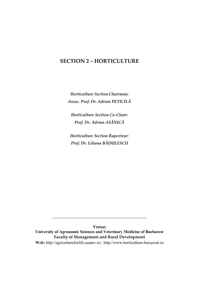# **SECTION 2 – HORTICULTURE**

*Horticulture Section Chairman: Assoc. Prof. Dr. Adrian PETICILĂ*

*Horticulture Section Co-Chair: Prof. Dr. Adrian ASĂNICĂ*

*Horticulture Section Raporteur: Prof. Dr. Liliana BĂDULESCU*

**Venue: University of Agronomic Sciences and Veterinary Medicine of Bucharest Faculty of Management and Rural Development Web:** [http://agricultureforlife.usamv.ro;](http://agricultureforlife.usamv.ro/) http://www.horticultura-bucuresti.ro

*\_\_\_\_\_\_\_\_\_\_\_\_\_\_\_\_\_\_\_\_\_\_\_\_\_\_\_\_\_\_\_\_\_\_\_\_\_\_\_\_\_\_\_\_\_\_*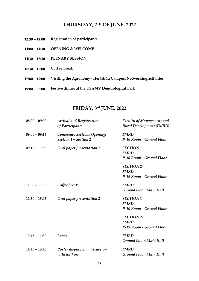# **THURSDAY, 2TH OF JUNE, 2022**

- **12:30 – 14:00 Registration of participants**
- **14:00 – 14:30 OPENING & WELCOME**
- **14:30 – 16:30 PLENARY SESSION**
- **16:30 – 17:00 Coffee Break**
- **17:00 – 19:00 Visiting the Agronomy - Herăstrău Campus, Networking activities**
- **19:00 – 22:00 Festive dinner at the USAMV Dendrological Park**

# **FRIDAY, 3rd JUNE, 2022**

| $08:00 - 09:00$ | <b>Arrival and Registration</b><br>of Participants | <b>Faculty of Management and</b><br><b>Rural Development (FMRD)</b> |
|-----------------|----------------------------------------------------|---------------------------------------------------------------------|
| $09:00 - 09:15$ | <b>Conference Sections Opening:</b>                | <b>FMRD</b>                                                         |
|                 | Section 1 + Section 2                              | P-10 Room - Ground Floor                                            |
| $09:15 - 11:00$ | Oral paper presentation 1                          | <b>SECTION 1-</b>                                                   |
|                 |                                                    | <b>FMRD</b>                                                         |
|                 |                                                    | P-10 Room - Ground Floor                                            |
|                 |                                                    | <b>SECTION 2-</b>                                                   |
|                 |                                                    | <b>FMRD</b>                                                         |
|                 |                                                    | P-19 Room - Ground Floor                                            |
| $11:00 - 11:30$ | Coffee break                                       | <b>FMRD</b>                                                         |
|                 |                                                    | Ground Floor, Main Hall                                             |
| $11:30 - 13:45$ | Oral paper presentation 2                          | <b>SECTION 1-</b>                                                   |
|                 |                                                    | <b>FMRD</b>                                                         |
|                 |                                                    | P-10 Room - Ground Floor                                            |
|                 |                                                    | <b>SECTION 2-</b>                                                   |
|                 |                                                    | <b>FMRD</b>                                                         |
|                 |                                                    | P-19 Room - Ground Floor                                            |
| $13:45 - 14:30$ | Lunch                                              | <b>FMRD</b>                                                         |
|                 |                                                    | Ground Floor, Main Hall                                             |
| $14:45 - 15:45$ | Poster display and discussion                      | <b>FMRD</b>                                                         |
|                 | with authors                                       | Ground Floor, Main Hall                                             |
|                 |                                                    |                                                                     |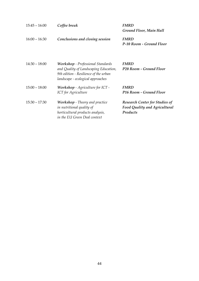| $15:45 - 16:00$<br>Coffee break |                                                                                                                     | <b>FMRD</b>                           |
|---------------------------------|---------------------------------------------------------------------------------------------------------------------|---------------------------------------|
|                                 |                                                                                                                     | Ground Floor, Main Hall               |
| $16:00 - 16:30$                 | Conclusions and closing session                                                                                     | <b>FMRD</b>                           |
|                                 |                                                                                                                     | P-10 Room - Ground Floor              |
| $14:30 - 18:00$                 | <b>Workshop</b> - Professional Standards                                                                            | <b>FMRD</b>                           |
|                                 | and Quality of Landscaping Education,<br>9th edition - Resilience of the urban<br>landscape - ecological approaches | P20 Room - Ground Floor               |
| $15:00 - 18:00$                 | Workshop - Agriculture for ICT -                                                                                    | <b>FMRD</b>                           |
|                                 | <b>ICT</b> for Agriculture                                                                                          | P16 Room - Ground Floor               |
| $15:30 - 17:30$                 | <b>Workshop</b> - Theory and practice                                                                               | <b>Research Center for Studies of</b> |
|                                 | <i>in nutritional quality of</i>                                                                                    | <b>Food Quality and Agricultural</b>  |
|                                 | horticultural products analysis,                                                                                    | Products                              |
|                                 | in the EU Green Deal context                                                                                        |                                       |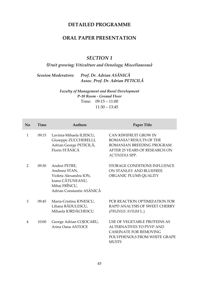# **DETAILED PROGRAMME**

# **ORAL PAPER PRESENTATION**

#### *SECTION 1*

# *(Fruit growing; Viticulture and Oenology; Miscellaneous)*

# *Session Moderators: Prof. Dr. Adrian ASĂNICĂ Assoc. Prof. Dr. Adrian PETICILĂ*

*Faculty of Management and Rural Development P-10 Room - Ground Floor* Time: 09:15 – 11:00 11:30 – 13:45

| No            | Time  | Authors                                                                                                                    | Paper Title                                                                                                                                      |
|---------------|-------|----------------------------------------------------------------------------------------------------------------------------|--------------------------------------------------------------------------------------------------------------------------------------------------|
| $\mathbf{1}$  | 09:15 | Lavinia-Mihaela ILIESCU,<br>Giuseppe ZUCCHERELLI,<br>Adrian George PETICILĂ,<br>Florin STĂNICĂ                             | CAN KIWIFRUIT GROW IN<br>ROMANIA? RESULTS OF THE<br>ROMANIAN BREEDING PROGRAM<br>AFTER 25 YEARS OF RESEARCH ON<br>ACTINIDIA SPP.                 |
| $\mathcal{P}$ | 09:30 | Andrei PETRE,<br>Andreea STAN,<br>Violeta Alexandra ION,<br>Ioana CĂTUNEANU,<br>Mihai FRÎNCU,<br>Adrian Constantin ASĂNICĂ | STORAGE CONDITIONS INFLUENCE<br>ON STANLEY AND BLUEFREE<br>ORGANIC PLUMS QUALITY                                                                 |
| 3             | 09:45 | Maria-Cristina IONESCU,<br>Liliana BĂDULESCU,<br>Mihaela IORDĂCHESCU                                                       | PCR REACTION OPTIMIZATION FOR<br>RAPD ANALYSIS OF SWEET CHERRY<br>(PRUNUS AVIUM L.)                                                              |
| 4             | 10:00 | George Adrian COJOCARU,<br>Arina Oana ANTOCE                                                                               | USE OF VEGETABLE PROTEINS AS<br><b>ALTERNATIVES TO PVVP AND</b><br><b>CASEINATE FOR REMOVING</b><br>POLYPHENOLS FROM WHITE GRAPE<br><b>MUSTS</b> |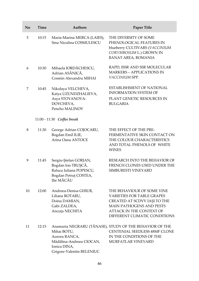| No | <b>Time</b> | <b>Authors</b>                                                                                                | Paper Title                                                                                                                                                                                            |
|----|-------------|---------------------------------------------------------------------------------------------------------------|--------------------------------------------------------------------------------------------------------------------------------------------------------------------------------------------------------|
| 5  | 10:15       | Maria-Marina MERCA (LAIES),<br>Sina Niculina COSMULESCU                                                       | THE DIVERSITY OF SOME<br>PHENOLOGICAL FEATURES IN<br>blueberry CULTIVARS (VACCINIUM<br>CORYMBOSUM L.) GROWN IN<br><b>BANAT AREA, ROMANIA</b>                                                           |
| 6  | 10:30       | Mihaela IORDĂCHESCU,<br>Adrian ASĂNICĂ,<br>Cosmin Alexandru MIHAI                                             | RAPD, ISSR AND SSR MOLECULAR<br><b>MARKERS - APPLICATIONS IN</b><br>VACCINIUM SPP.                                                                                                                     |
| 7  | 10:45       | Nikolaya VELCHEVA,<br>Katya UZUNDZHALIEVA,<br>Asya STOYANOVA-<br>DOYCHEVA,<br>Pencho MALINOV                  | <b>ESTABLISHMENT OF NATIONAL</b><br><b>INFORMATION SYSTEM OF</b><br>PLANT GENETIC RESOURCES IN<br><b>BULGARIA</b>                                                                                      |
|    |             | 11:00 - 11:30 Coffee break                                                                                    |                                                                                                                                                                                                        |
| 8  | 11:30       | George Adrian COJOCARU,<br>Bogdan Emil ILIE,<br>Arina Oana ANTOCE                                             | THE EFFECT OF THE PRE-<br>FERMENTATIVE SKIN CONTACT ON<br>THE COLOUR CHARACTERISTICS<br>AND TOTAL PHENOLS OF WHITE<br><b>WINES</b>                                                                     |
| 9  | 11:45       | Sergiu-Ştefan GORJAN,<br>Bogdan Ion TRUŞCĂ,<br>Raluca Iuliana POPESCU,<br>Bogdan Petruț COSTEA,<br>Ilie MĂCĂU | RESEARCH INTO THE BEHAVIOR OF<br>FRENCH CLONES USED UNDER THE<br>SIMBURESTI VINEYARD                                                                                                                   |
| 10 | 12:00       | Andreea-Denisa GHIUR,<br>Liliana ROTARU,<br>Doina DAMIAN,<br>Gabi ZALDEA,<br>Ancuța NECHITA                   | THE BEHAVIOUR OF SOME VINE<br><b>VARIETIES FOR TABLE GRAPES</b><br>CREATED AT SCDVV IAȘI TO THE<br><b>MAIN PATHOGENS AND PESTS</b><br><b>ATTACK IN THE CONTEXT OF</b><br>DIFFERENT CLIMATIC CONDITIONS |
| 11 | 12:15       | Mihai BOTU,<br>Aurora RANCA,<br>Mădălina-Andreea CIOCAN,<br>Ionica DINA,<br>Grigore-Valentin BELENIUC         | Anamaria NEGRARU (TĂNASE), STUDY OF THE BEHAVIOR OF THE<br>CENTENIAL SEEDLESS 48MF CLONE<br>IN THE CONDITIONS OF THE<br>MURFATLAR VINEYARD                                                             |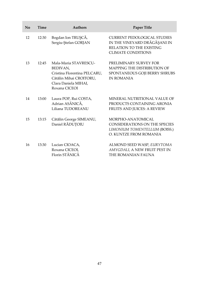| No | Time  | <b>Authors</b>                                                                                                                        | Paper Title                                                                                                                 |
|----|-------|---------------------------------------------------------------------------------------------------------------------------------------|-----------------------------------------------------------------------------------------------------------------------------|
| 12 | 12:30 | Bogdan Ion TRUȘCĂ,<br>Sergiu-Ștefan GORJAN                                                                                            | <b>CURRENT PEDOLOGICAL STUDIES</b><br>IN THE VINEYARD DRĂGĂȘANI IN<br>RELATION TO THE EXISTING<br><b>CLIMATE CONDITIONS</b> |
| 13 | 12:45 | Mala-Maria STAVRESCU-<br>BEDIVAN,<br>Cristina Florentina PELCARU,<br>Cătălin Mihai CROITORU,<br>Clara Daniela MIHAI,<br>Roxana CICEOI | PRELIMINARY SURVEY FOR<br>MAPPING THE DISTRIBUTION OF<br>SPONTANEOUS GOJI BERRY SHRUBS<br><b>IN ROMANIA</b>                 |
| 14 | 13:00 | Laura POP, Rui COSTA,<br>Adrian ASĂNICĂ,<br>Liliana TUDOREANU                                                                         | MINERAL NUTRITIONAL VALUE OF<br>PRODUCTS CONTAINING ARONIA<br>FRUITS AND JUICES: A REVIEW                                   |
| 15 | 13:15 | Cătălin George SIMEANU,<br>Daniel RĂDUȚOIU                                                                                            | MORPHO-ANATOMICAL<br>CONSIDERATIONS ON THE SPECIES<br>LIMONIUM TOMENTELLUM (BOISS.)<br>O. KUNTZE FROM ROMANIA               |
| 16 | 13:30 | Lucian CIOACA,<br>Roxana CICEOI,<br>Florin STĂNICĂ                                                                                    | ALMOND SEED WASP, EURYTOMA<br>AMYGDALI, A NEW FRUIT PEST IN<br>THE ROMANIAN FAUNA                                           |

L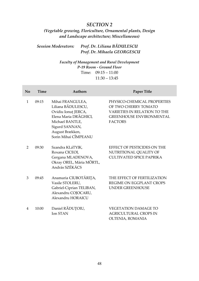# *SECTION 2*

# *(Vegetable growing, Floriculture, Ornamental plants, Design and Landscape architecture; Miscellaneous)*

# *Session Moderators: Prof. Dr. Liliana BĂDULESCU Prof. Dr. Mihaela GEORGESCU*

#### *Faculty of Management and Rural Development P-19 Room - Ground Floor* Time: 09:15 – 11:00  $11:30 - 13:45$

| No            | Time  | <b>Authors</b>                                                                                                                                                         | Paper Title                                                                                                                                     |
|---------------|-------|------------------------------------------------------------------------------------------------------------------------------------------------------------------------|-------------------------------------------------------------------------------------------------------------------------------------------------|
| $\mathbf{1}$  | 09:15 | Mihai FRANGULEA,<br>Liliana BĂDULESCU,<br>Ovidiu Ionuț JERCA,<br>Elena Maria DRĂGHICI,<br>Michael BANTLE,<br>Sigurd SANNAN,<br>August Brækken,<br>Sorin Mihai CÎMPEANU | PHYSICO-CHEMICAL PROPERTIES<br>OF TWO CHERRY TOMATO<br><b>VARIETIES IN RELATION TO THE</b><br><b>GREENHOUSE ENVIRONMENTAL</b><br><b>FACTORS</b> |
| $\mathcal{P}$ | 09:30 | Szandra KLáTYIK,<br>Roxana CICEOI,<br>Gergana MLADENOVA,<br>Okray OREL, Mária MÖRTL,<br>András SZÉKÁCS                                                                 | EFFECT OF PESTICIDES ON THE<br>NUTRITIONAL QUALITY OF<br><b>CULTIVATED SPICE PAPRIKA</b>                                                        |
| 3             | 09:45 | Anamaria CIUBOTĂRIȚA,<br>Vasile STOLERU,<br>Gabriel-Ciprian TELIBAN,<br>Alexandru COJOCARU,<br>Alexandru HORAICU                                                       | THE EFFECT OF FERTILIZATION<br><b>REGIME ON EGGPLANT CROPS</b><br><b>UNDER GREENHOUSE</b>                                                       |
| 4             | 10:00 | Daniel RĂDUȚOIU,<br>Ion STAN                                                                                                                                           | <b>VEGETATION DAMAGE TO</b><br><b>AGRICULTURAL CROPS IN</b><br>OLTENIA, ROMANIA                                                                 |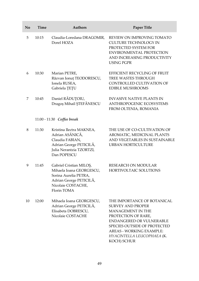| No | <b>Time</b> | <b>Authors</b>                                                                                                                               | Paper Title                                                                                                                                                                                                                                     |
|----|-------------|----------------------------------------------------------------------------------------------------------------------------------------------|-------------------------------------------------------------------------------------------------------------------------------------------------------------------------------------------------------------------------------------------------|
| 5  | 10:15       | Claudia-Loredana DRAGOMIR,<br>Dorel HOZA                                                                                                     | REVIEW ON IMPROVING TOMATO<br><b>CULTURE TECHNOLOGY IN</b><br>PROTECTED SYSTEM FOR<br><b>ENVIRONMENTAL PROTECTION</b><br>AND INCREASING PRODUCTIVITY<br><b>USING PGPR</b>                                                                       |
| 6  | 10:30       | Marian PETRE,<br>Răzvan Ionuț TEODORESCU,<br>Ionela RUSEA,<br>Gabriela TETU                                                                  | EFFICIENT RECYCLING OF FRUIT<br>TREE WASTES THROUGH<br>CONTROLLED CULTIVATION OF<br><b>EDIBLE MUSHROOMS</b>                                                                                                                                     |
| 7  | 10:45       | Daniel RĂDUȚOIU,<br>Dragoș Mihail ȘTEFĂNESCU                                                                                                 | <b>INVASIVE NATIVE PLANTS IN</b><br>ANTHROPOGENIC ECOSYSTEMS<br>FROM OLTENIA, ROMANIA                                                                                                                                                           |
|    |             | 11:00 - 11:30 Coffee break                                                                                                                   |                                                                                                                                                                                                                                                 |
| 8  | 11:30       | Kristina Ilectra MAKNEA,<br>Adrian ASĂNICĂ,<br>Claudia FABIAN,<br>Adrian George PETICILĂ,<br>Julia Nerantzia TZORTZI,<br>Dan POPESCU         | THE USE OF CO-CULTIVATION OF<br>AROMATIC, MEDICINAL PLANTS<br>AND VEGETABLES IN SUSTAINABLE<br>URBAN HORTICULTURE                                                                                                                               |
| 9  | 11:45       | Gabriel Cristian MILOŞ,<br>Mihaela Ioana GEORGESCU,<br>Sorina Aurelia PETRA,<br>Adrian George PETICILĂ,<br>Nicolaie COSTACHE,<br>Florin TOMA | <b>RESEARCH ON MODULAR</b><br>HORTIVOLTAIC SOLUTIONS                                                                                                                                                                                            |
| 10 | 12:00       | Mihaela Ioana GEORGESCU,<br>Adrian George PETICILĂ,<br>Elisabeta DOBRESCU,<br>Nicolaie COSTACHE                                              | THE IMPORTANCE OF BOTANICAL<br><b>SURVEY AND PROPER</b><br>MANAGEMENT IN THE<br>PROTECTION OF RARE,<br><b>ENDANGERED OR VULNERABLE</b><br>SPECIES OUTSIDE OF PROTECTED<br>AREAS - WORKING EXAMPLE:<br>HYACINTELLA LEUCOPHAEA (K.<br>KOCH) SCHUR |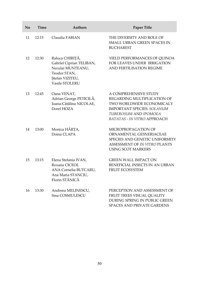| No | Time  | <b>Authors</b>                                                                                                        | <b>Paper Title</b>                                                                                                                                                                    |
|----|-------|-----------------------------------------------------------------------------------------------------------------------|---------------------------------------------------------------------------------------------------------------------------------------------------------------------------------------|
| 11 | 12:15 | Claudia FABIAN                                                                                                        | THE DIVERSITY AND ROLE OF<br>SMALL URBAN GREEN SPACES IN<br><b>BUCHAREST</b>                                                                                                          |
| 12 | 12:30 | Raluca CHIRIȚĂ,<br>Gabriel Ciprian TELIBAN,<br>Neculai MUNTEANU,<br>Teodor STAN,<br>Ștefan VIZITEU,<br>Vasile STOLERU | YIELD PERFORMANCES OF QUINOA<br>FOR LEAVES UNDER IRRIGATION<br>AND FERTILISATION REGIME                                                                                               |
| 13 | 12:45 | Oana VENAT,<br>Adrian George PETICILĂ,<br>Ioana-Cătălina NICOLAE,<br>Dorel HOZA                                       | A COMPREHENSIVE STUDY<br>REGARDING MULTIPLICATION OF<br>TWO WORLDWIDE ECONOMICALY<br><b>IMPORTANT SPECIES: SOLANUM</b><br>TUBEROSUM AND IPOMOEA<br><b>BATATAS - IN VITRO APPROACH</b> |
| 14 | 13:00 | Monica HÂRȚA,<br>Doina CLAPA                                                                                          | MICROPROPAGATION OF<br>ORNAMENTAL GESNERIACEAE<br>SPECIES AND GENETIC UNIFORMITY<br>ASSESSMENT OF IN VITRO PLANTS<br><b>USING SCOT MARKERS</b>                                        |
| 15 | 13:15 | Elena Stefania IVAN,<br>Roxana CICEOI,<br>ANA Cornelia BUTCARU,<br>Ana Maria STANCIU,<br>Florin STĂNICĂ               | GREEN WALL IMPACT ON<br>BENEFICIAL INSECTS IN AN URBAN<br>FRUIT ECOSYSTEM                                                                                                             |
| 16 | 13:30 | Andreea MELINESCU,<br>Sina COSMULESCU                                                                                 | PERCEPTION AND ASSESSMENT OF<br>FRUIT TREES VISUAL QUALITY<br>DURING SPRING IN PUBLIC GREEN<br>SPACES AND PRIVATE GARDENS                                                             |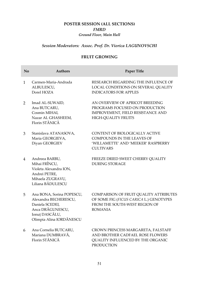# **POSTER SESSION (ALL SECTIONS)** *FMRD Ground Floor, Main Hall*

# *Session Moderators: Assoc. Prof. Dr. Viorica LAGUNOVSCHI*

#### **FRUIT GROWING**

| $\mathbf{N}\mathbf{0}$ | <b>Authors</b>                                                                                                                          | Paper Title                                                                                                                          |
|------------------------|-----------------------------------------------------------------------------------------------------------------------------------------|--------------------------------------------------------------------------------------------------------------------------------------|
| $\mathbf{1}$           | Carmen-Maria-Andrada<br>ALBULESCU,<br>Dorel HOZA                                                                                        | RESEARCH REGARDING THE INFLUENCE OF<br>LOCAL CONDITIONS ON SEVERAL QUALITY<br><b>INDICATORS FOR APPLES</b>                           |
| 2                      | Imad AL-SUWAID,<br>Ana BUTCARU,<br>Cosmin MIHAI,<br>Nazar AL GHASHEEM,<br>Florin STĂNICĂ                                                | AN OVERVIEW OF APRICOT BREEDING<br>PROGRAMS FOCUSED ON PRODUCTION<br>IMPROVEMENT, FIELD RESISTANCE AND<br><b>HIGH-QUALITY FRUITS</b> |
| 3                      | Stanislava ATANASOVA,<br>Maria GEORGIEVA,<br>Diyan GEORGIEV                                                                             | CONTENT OF BIOLOGICALLY ACTIVE<br><b>COMPOUNDS IN THE LEAVES OF</b><br>'WILLAMETTE' AND 'MEEKER' RASPBERRY<br><b>CULTIVARS</b>       |
| 4                      | Andreea BARBU,<br>Mihai FRÎNCU,<br>Violeta Alexandra ION,<br>Andrei PETRE,<br>Mihaela ZUGRAVU,<br>Liliana BĂDULESCU                     | FREEZE DRIED SWEET CHERRY QUALITY<br><b>DURING STORAGE</b>                                                                           |
| 5                      | Ana BONA, Sorina POPESCU,<br>Alexandra BECHERESCU,<br>Daniela SCEDEI,<br>Anca DRĂGUNESCU,<br>Ionuț DASCĂLU,<br>Olimpia Alina IORDĂNESCU | COMPARISON OF FRUIT QUALITY ATTRIBUTES<br>OF SOME FIG (FICUS CARICA L.) GENOTYPES<br>FROM THE SOUTH-WEST REGION OF<br><b>ROMANIA</b> |
| 6                      | Ana Cornelia BUTCARU,<br>Mariana DUMBRAVĂ,<br>Florin STĂNICĂ                                                                            | CROWN PRINCESS MARGARETA, FALSTAFF<br>AND BROTHER CADFAEL ROSE FLOWERS<br>QUALITY INFLUENCED BY THE ORGANIC<br><b>PRODUCTION</b>     |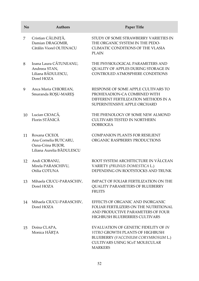| No | <b>Authors</b>                                                                            | Paper Title                                                                                                                                                               |
|----|-------------------------------------------------------------------------------------------|---------------------------------------------------------------------------------------------------------------------------------------------------------------------------|
| 7  | Cristian CĂLINIȚĂ,<br>Damian DRAGOMIR,<br>Cătălin Viorel OLTENACU                         | STUDY OF SOME STRAWBERRY VARIETIES IN<br>THE ORGANIC SYSTEM IN THE PEDO-<br>CLIMATIC CONDITIONS OF THE VLASIA<br><b>PLAIN</b>                                             |
| 8  | Ioana Laura CĂTUNEANU,<br>Andreea STAN,<br>Liliana BĂDULESCU,<br>Dorel HOZA               | THE PHYSIOLOGICAL PARAMETERS AND<br>QUALITY OF APPLES DURING STORAGE IN<br>CONTROLED ATMOSPHERE CONDITIONS                                                                |
| 9  | Anca Maria CHIOREAN,<br>Smaranda ROŞU-MAREŞ                                               | RESPONSE OF SOME APPLE CULTIVARS TO<br>PROHEXADION-CA COMBINED WITH<br>DIFFERENT FERTILIZATION METHODS IN A<br>SUPERINTENSIVE APPLE ORCHARD                               |
| 10 | Lucian CIOACĂ,<br>Florin STĂNICĂ                                                          | THE PHENOLOGY OF SOME NEW ALMOND<br><b>CULTIVARS TESTED IN NORTHERN</b><br><b>DOBROGEA</b>                                                                                |
| 11 | Roxana CICEOI,<br>Ana Cornelia BUTCARU,<br>Oana-Crina BUJOR,<br>Liliana Aurelia BĂDULESCU | <b>COMPANION PLANTS FOR RESILIENT</b><br>ORGANIC RASPBERRY PRODUCTIONS                                                                                                    |
| 12 | Andi CIOBANU,<br>Mirela PARASCHIVU,<br>Otilia COTUNA                                      | ROOT SYSTEM ARCHITECTURE IN VÂLCEAN<br>VARIETY (PRUNUS DOMESTICA L.)<br>DEPENDING ON ROOTSTOCKS AND TRUNK                                                                 |
| 13 | Mihaela CIUCU-PARASCHIV,<br>Dorel HOZA                                                    | <b>IMPACT OF FOLIAR FERTILIZATION ON THE</b><br><b>QUALITY PARAMETERS OF BLUEBERRY</b><br><b>FRUITS</b>                                                                   |
| 14 | Mihaela CIUCU-PARASCHIV,<br>Dorel HOZA                                                    | EFFECTS OF ORGANIC AND INORGANIC<br>FOLIAR FERTILIZERS ON THE NUTRITIONAL<br>AND PRODUCTIVE PARAMETERS OF FOUR<br><b>HIGHBUSH BLUEBERRIES CULTIVARS</b>                   |
| 15 | Doina CLAPA,<br>Monica HÂRȚA                                                              | EVALUATION OF GENETIC FIDELITY OF IN<br><b>VITRO GROWTH PLANTS OF HIGHBUSH</b><br>BLUEBERRY (VACCINIUM CORYMBOSUM L.)<br>CULTIVARS USING SCoT MOLECULAR<br><b>MARKERS</b> |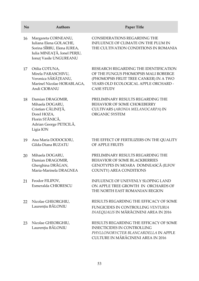| No | <b>Authors</b>                                                                                                                       | Paper Title                                                                                                                                                                          |
|----|--------------------------------------------------------------------------------------------------------------------------------------|--------------------------------------------------------------------------------------------------------------------------------------------------------------------------------------|
| 16 | Margareta CORNEANU,<br>Iuliana Elena GOLACHE,<br>Sorina SÎRBU, Elena IUREA,<br>Iulia MINEAȚĂ, Ionel PERJU,<br>Ionuț Vasile UNGUREANU | <b>CONSIDERATIONS REGARDING THE</b><br>INFLUENCE OF CLIMATE ON THE PLUM IN<br>THE CULTIVATION CONDITIONS IN ROMANIA                                                                  |
| 17 | Otilia COTUNA,<br>Mirela PARASCHIVU,<br>Veronica SĂRĂȚEANU,<br>Marinel Nicolae HORABLAGA,<br>Andi CIOBANU                            | RESEARCH REGARDING THE IDENTIFICATION<br>OF THE FUNGUS PHOMOPSIS MALI ROBERGE<br>(PHOMOPSIS FRUIT TREE CANKER) IN A TWO<br>YEARS OLD ECOLOGICAL APPLE ORCHARD -<br><b>CASE STUDY</b> |
| 18 | Damian DRAGOMIR,<br>Mihaela DOGARU,<br>Cristian CĂLINIȚĂ,<br>Dorel HOZA,<br>Florin STĂNICĂ,<br>Adrian George PETICILĂ,<br>Ligia ION  | PRELIMINARY RESULTS REGARDING THE<br>BEHAVIOR OF SOME CHOKEBERRY<br>CULTIVARS (ARONIA MELANOCARPA) IN<br>ORGANIC SYSTEM                                                              |
| 19 | Ana Maria DODOCIOIU,<br>Gilda-Diana BUZATU                                                                                           | THE EFFECT OF FERTILIZERS ON THE QUALITY<br>OF APPLE FRUITS                                                                                                                          |
| 20 | Mihaela DOGARU,<br>Damian DRAGOMIR,<br>Gherghina DRĂGAN,<br>Maria-Marinela DRAGNEA                                                   | PRELIMINARY RESULTS REGARDING THE<br><b>BEHAVIOR OF SOME BLACKBERRIES</b><br>GENOTYPES IN MOARA DOMNEASCĂ (ILFOV<br>COUNTY) AREA CONDITIONS                                          |
| 21 | Feodor FILIPOV,<br>Esmeralda CHIORESCU                                                                                               | <b>INFLUENCE OF UNEVENLY SLOPING LAND</b><br>ON APPLE TREE GROWTH IN ORCHARDS OF<br>THE NORTH EAST ROMANIAN REGION                                                                   |
| 22 | Nicolae GHEORGHIU,<br>Laurențiu BĂLONIU                                                                                              | RESULTS REGARDING THE EFFICACY OF SOME<br>FUNGICIDES IN CONTROLLING VENTURIA<br>INAEQUALIS IN MĂRĂCINENI AREA IN 2016                                                                |
| 23 | Nicolae GHEORGHIU,<br>Laurențiu BĂLONIU                                                                                              | RESULTS REGARDING THE EFFICACY OF SOME<br><b>INSECTICIDES IN CONTROLLING</b><br>PHYLLONORYCTER BLANCARDELLA IN APPLE<br>CULTURE IN MĂRĂCINENI AREA IN 2016                           |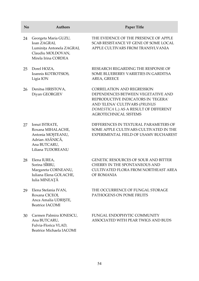| No | <b>Authors</b>                                                                                                   | <b>Paper Title</b>                                                                                                                                                                                                        |
|----|------------------------------------------------------------------------------------------------------------------|---------------------------------------------------------------------------------------------------------------------------------------------------------------------------------------------------------------------------|
| 24 | Georgeta Maria GUZU,<br>Ioan ZAGRAI,<br>Luminița Antonela ZAGRAI,<br>Claudiu MOLDOVAN,<br>Mirela Irina CORDEA    | THE EVIDENCE OF THE PRESENCE OF APPLE<br>SCAB RESISTANCE VF GENE OF SOME LOCAL<br>APPLE CULTIVARS FROM TRANSYLVANIA                                                                                                       |
| 25 | Dorel HOZA,<br>Ioannis KOTROTSIOS,<br>Ligia ION                                                                  | RESEARCH REGARDING THE RESPONSE OF<br>SOME BLUEBERRY VARIETIES IN GARDITSA<br>AREA, GREECE                                                                                                                                |
| 26 | Denitsa HRISTOVA,<br>Diyan GEORGIEV                                                                              | <b>CORRELATION AND REGRESSION</b><br>DEPENDENCES BETWEEN VEGETATIVE AND<br>REPRODUCTIVE INDICATORS IN 'TEGERA'<br>AND 'ELENA' CULTIVARS (PRUNUS<br>DOMESTICA L.) AS A RESULT OF DIFFERENT<br><b>AGROTECHNICAL SISTEMS</b> |
| 27 | Ionut ISTRATE,<br>Roxana MIHALACHE,<br>Antonia MOȘTEANU,<br>Adrian ASĂNICĂ,<br>Ana BUTCARU,<br>Liliana TUDOREANU | DIFFERENCES IN TEXTURAL PARAMETERS OF<br>SOME APPLE CULTIVARS CULTIVATED IN THE<br>EXPERIMENTAL FIELD OF USAMV BUCHAREST                                                                                                  |
| 28 | Elena IUREA,<br>Sorina SÎRBU,<br>Margareta CORNEANU,<br>Iuliana Elena GOLACHE,<br>Iulia MINEAȚĂ                  | GENETIC RESOURCES OF SOUR AND BITTER<br><b>CHERRY IN THE SPONTANEOUS AND</b><br><b>CULTIVATED FLORA FROM NORTHEAST AREA</b><br>OF ROMANIA                                                                                 |
| 29 | Elena Stefania IVAN,<br>Roxana CICEOI,<br>Anca Amalia UDRIŞTE,<br><b>Beatrice IACOMI</b>                         | THE OCCURRENCE OF FUNGAL STORAGE<br>PATHOGENS ON POME FRUITS                                                                                                                                                              |
| 30 | Carmen Palmira IONESCU,<br>Ana BUTCARU,<br>Fulvia-Florica VLAD,<br>Beatrice Michaela IACOMI                      | FUNGAL ENDOPHYTIC COMMUNITY<br>ASSOCIATED WITH PEAR TWIGS AND BUDS                                                                                                                                                        |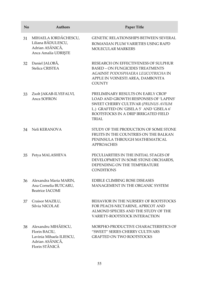| N <sub>o</sub> | <b>Authors</b>                                                                                        | Paper Title                                                                                                                                                                                                                  |
|----------------|-------------------------------------------------------------------------------------------------------|------------------------------------------------------------------------------------------------------------------------------------------------------------------------------------------------------------------------------|
| 31             | MIHAELA IORDĂCHESCU,<br>Liliana BĂDULESCU,<br>Adrian ASĂNICĂ,<br>Anca Amalia UDRIŞTE                  | <b>GENETIC RELATIONSHIPS BETWEEN SEVERAL</b><br>ROMANIAN PLUM VARIETIES USING RAPD<br><b>MOLECULAR MARKERS</b>                                                                                                               |
| 32             | Daniel JALOBĂ,<br>Stelica CRISTEA                                                                     | RESEARCH ON EFFECTIVENESS OF SULPHUR<br><b>BASED - ON FUNGICIDES TREATMENTS</b><br>AGAINST PODOSPHAERA LEUCOTRICHA IN<br>APPLE IN VOINESTI AREA, DAMBOVITA<br><b>COUNTY</b>                                                  |
| 33             | Zsolt JAKAB-ILYEFALVI,<br>Anca SOFRON                                                                 | PRELIMINARY RESULTS ON EARLY CROP<br><b>LOAD AND GROWTH RESPONSES OF 'LAPINS'</b><br>SWEET CHERRY CULTIVAR (PRUNUS AVIUM<br>L.) GRAFTED ON 'GISELA 5' AND 'GISELA 6'<br>ROOTSTOCKS IN A DRIP IRRIGATED FIELD<br><b>TRIAL</b> |
| 34             | Neli KERANOVA                                                                                         | STUDY OF THE PRODUCTION OF SOME STONE<br>FRUITS IN THE COUNTRIES ON THE BALKAN<br>PENINSULA THROUGH MATHEMATICAL<br><b>APPROACHES</b>                                                                                        |
| 35             | Petya MALASHEVA                                                                                       | PECULIARITIES IN THE INITIAL STAGES OF<br>DEVELOPMENT IN SOME STONE ORCHARDS,<br>DEPENDING ON THE TEMPERATURE<br><b>CONDITIONS</b>                                                                                           |
| 36             | Alexandra Maria MARIN,<br>Ana Cornelia BUTCARU,<br>Beatrice IACOMI                                    | <b>EDIBLE CLIMBING ROSE DISEASES</b><br>MANAGEMENT IN THE ORGANIC SYSTEM                                                                                                                                                     |
| 37             | Craisor MAZILU,<br>Silvia NICOLAE                                                                     | BEHAVIOR IN THE NURSERY OF ROOTSTOCKS<br>FOR PEACH-NECTARINE, APRICOT AND<br>ALMOND SPECIES AND THE STUDY OF THE<br>VARIETY-ROOTSTOCK INTERACTION                                                                            |
| 38             | Alexandru MIHĂESCU,<br>Florin BACIU,<br>Lavinia Mihaela ILIESCU,<br>Adrian ASĂNICĂ,<br>Florin STĂNICĂ | MORPHO-PRODUCTIVE CHARACTERISTICS OF<br>"SWEET" SERIES CHERRY CULTIVARS<br><b>GRAFTED ON TWO ROOTSTOCKS</b>                                                                                                                  |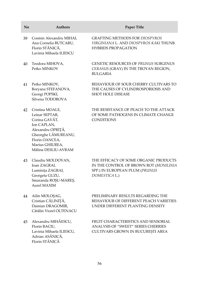| No | <b>Authors</b>                                                                                                                                                            | Paper Title                                                                                                                        |
|----|---------------------------------------------------------------------------------------------------------------------------------------------------------------------------|------------------------------------------------------------------------------------------------------------------------------------|
| 39 | Cosmin Alexandru MIHAI,<br>Ana Cornelia BUTCARU,<br>Florin STĂNICĂ,<br>Lavinia Mihaela ILIESCU                                                                            | <b>GRAFTING METHODS FOR DIOSPYROS</b><br>VIRGINIANA L. AND DIOSPYROS KAKI THUNB.<br><b>HYBRIDS PROPAGATION</b>                     |
| 40 | Teodora MIHOVA,<br>Petko MINKOV                                                                                                                                           | <b>GENETIC RESOURCES OF PRUNUS SUBGENUS</b><br>CERASUS (GRAY) IN THE TROYAN REGION,<br><b>BULGARIA</b>                             |
| 41 | Petko MINKOV,<br>Boryana STEFANOVA,<br>Georgi POPSKI,<br>Silvena TODOROVA                                                                                                 | BEHAVIOUR OF SOUR CHERRY CULTIVARS TO<br>THE CAUSES OF CYLINDROSPORIOSIS AND<br><b>SHOT HOLE DISEASE</b>                           |
| 42 | Cristina MOALE,<br>Leinar SEPTAR,<br>Corina GAVĂT,<br>Ion CAPLAN,<br>Alexandru OPRIȚĂ,<br>Gheorghe LĂMUREANU,<br>Florin OANCEA,<br>Marius GHIUREA.<br>Mălina DESLIU-AVRAM | THE RESISTANCE OF PEACH TO THE ATTACK<br>OF SOME PATHOGENS IN CLIMATE CHANGE<br><b>CONDITIONS</b>                                  |
| 43 | Claudiu MOLDOVAN,<br>Ioan ZAGRAI,<br>Luminița ZAGRAI,<br>Georgeta GUZU,<br>Smaranda ROŞU-MAREŞ,<br><b>Aurel MAXIM</b>                                                     | THE EFFICACY OF SOME ORGANIC PRODUCTS<br>IN THE CONTROL OF BROWN ROT (MONILINIA<br>SPP.) IN EUROPEAN PLUM (PRUNUS<br>DOMESTICA L.) |
| 44 | Ailin MOLOȘAG,<br>Cristian CĂLINIȚĂ,<br>Damian DRAGOMIR,<br>Cătălin Viorel OLTENACU                                                                                       | PRELIMINARY RESULTS REGARDING THE<br>BEHAVIOUR OF DIFFERENT PEACH VARIETIES<br>UNDER DIFFERENT PLANTING DENSITY                    |
| 45 | Alexandru MIHĂESCU,<br>Florin BACIU,                                                                                                                                      | FRUIT CHARACTERISTICS AND SENSORIAL<br>ANALYSIS OF "SWEET" SERIES CHERRIES                                                         |

56

CULTIVARS GROWN IN BUCUREȘTI AREA

Lavinia Mihaela ILIESCU, Adrian ASĂNICĂ, Florin STĂNICĂ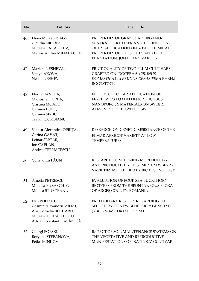| N <sub>o</sub> | <b>Authors</b>                                                                                                        | Paper Title                                                                                                                                                                         |
|----------------|-----------------------------------------------------------------------------------------------------------------------|-------------------------------------------------------------------------------------------------------------------------------------------------------------------------------------|
| 46             | Elena Mihaela NAGY,<br>Claudia NICOLA,<br>Mihaela PARASCHIV,<br>Marius Andrei MIHALACHE                               | PROPERTIES OF GRANULAR ORGANO-<br>MINERAL FERTILIZER AND THE INFLUENCE<br>OF ITS APPLICATION ON SOME CHEMICAL<br>PROPERTIES OF THE SOIL IN AN APPLE<br>PLANTATION, JONATHAN VARIETY |
| 47             | Marieta NESHEVA,<br>Vanya AKOVA,<br>Nesho NESHEV                                                                      | FRUIT QUALITY OF TWO PLUM CULTIVARS<br><b>GRAFTED ON 'DOCERA 6' (PRUNUS</b><br>DOMESTICA L. x PRUNUS CERASIFERA EHRH.)<br><b>ROOTSTOCK</b>                                          |
| 48             | Florin OANCEA,<br>Marius GHIUREA,<br>Cristina MOALE,<br>Carmen LUPU,<br>Carmen SÎRBU,<br>Traian CIOROIANU             | EFFECTS OF FOLIAR APPLICATION OF<br><b>FERTILIZERS LOADED INTO SILICEOUS</b><br>NANOPOROUS MATERIALS ON SWEETS<br>ALMONDS PHOTOSYNTHESIS                                            |
| 49             | Vladut Alexandru OPRIȚA,<br>Corina GAVAT,<br>Leinar SEPTAR,<br>Ion CAPLAN,<br>Andrei CERNĂTESCU                       | RESEARCH ON GENETIC RESISTANCE OF THE<br>ELMAR APRICOT VARIETY AT LOW<br><b>TEMPERATURES</b>                                                                                        |
| 50             | Constantin PĂUN                                                                                                       | RESEARCH CONCERNING MORPHOLOGY<br>AND PRODUCTIVITY OF SOME STRAWBERRY<br>VARIETIES MULTIPLIED BY BIOTECHNOLOGY                                                                      |
| 51             | Amelia PETRESCU,<br>Mihaela PARASCHIV,<br>Monica STURZEANU                                                            | <b>EVALUATION OF FOUR SEA BUCKTHORN</b><br>BIOTYPES FROM THE SPONTANEOUS FLORA<br>OF ARGES COUNTY, ROMANIA                                                                          |
| 52             | Dan POPESCU,<br>Cosmin Alexandru MIHAI,<br>Ana Cornelia BUTCARU,<br>Mihaela IORDĂCHESCU,<br>Adrian Constantin ASĂNICĂ | PRELIMINARY RESULTS REGARDING THE<br>SELECTION OF NEW BLUEBERRY GENOTYPES<br>(VACCINUM CORYMBOSUM L.)                                                                               |
| 53             | Georgi POPSKI,<br>Boryana STEFANOVA,<br>Petko MINKOV                                                                  | <b>IMPACT OF SOIL MAINTENANCE SYSTEMS ON</b><br>THE VEGETATIVE AND REPRODUCTIVE<br>MANIFESTATIONS OF 'KATINKA' CULTIVAR                                                             |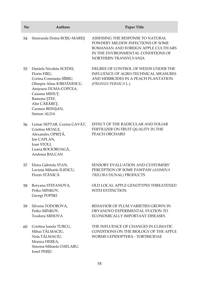| N <sub>o</sub> | <b>Authors</b>                                                                                                                                                                                                 | Paper Title                                                                                                                                                                   |
|----------------|----------------------------------------------------------------------------------------------------------------------------------------------------------------------------------------------------------------|-------------------------------------------------------------------------------------------------------------------------------------------------------------------------------|
| 54             | Smaranda Doina ROŞU-MAREŞ                                                                                                                                                                                      | ASSESSING THE RESPONSE TO NATURAL<br>POWDERY MILDEW INFECTIONS OF SOME<br>ROMANIAN AND FOREIGN APPLE CULTIVARS<br>IN THE ENVIRONMENTAL CONDITIONS OF<br>NORTHERN TRANSYLVANIA |
| 55             | Daniela Nicoleta SCEDEI,<br>Florin FIRU,<br>Corina Constanța SÎRBU,<br>Olimpia Alina IORDĂNESCU,<br>Anișoara DUMA-COPCEA,<br>Casiana MIHUȚ,<br>Ramona ŞTEF,<br>Alin CĂRĂBEȚ,<br>Carmen BEINȘAN,<br>Simion ALDA | DEGREE OF CONTROL OF WEEDS UNDER THE<br>INFLUENCE OF AGRO-TECHNICAL MEASURES<br>AND HERBICIDES IN A PEACH PLANTATION<br>(PRUNUS PERSICA L.)                                   |
| 56             | Leinar SEPTAR, Corina GAVĂT,<br>Cristina MOALE,<br>Alexandru OPRIȚĂ,<br>Ion CAPLAN,<br>Ioan STOLI,<br>Luana BOCIOROAGĂ,<br>Andreea BALCAN                                                                      | EFFECT OF THE RADICULAR AND FOLIAR<br>FERTILIZER ON FRUIT QUALITY IN THE<br>PEACH ORCHARD                                                                                     |
| 57             | Elena Gabriela STAN,<br>Lavinia Mihaela ILIESCU,<br>Florin STĂNICĂ                                                                                                                                             | SENSORY EVALUATION AND CUSTOMERS'<br>PERCEPTION OF SOME PAWPAW (ASIMINA<br>TRILOBA DUNAL) PRODUCTS                                                                            |
| 58             | Boryana STEFANOVA,<br>Petko MINKOV,<br>Georgi POPSKI                                                                                                                                                           | OLD LOCAL APPLE GENOTYPES THREATENED<br><b>WITH EXTINCTION</b>                                                                                                                |
| 59             | Silvena TODOROVA,<br>Petko MINKOV,<br>Teodora MIHOVA                                                                                                                                                           | BEHAVIOR OF PLUM VARIETIES GROWN IN<br>DRYANOVO EXPERIMENTAL STATION TO<br>ECONOMICALLY IMPORTANT DISEASES                                                                    |
| 60             | Cristina Ionela TURCU,<br>Mihai TĂLMACIU,<br>Nela TĂLMACIU,<br>Monica HEREA,<br>Simona-Mihaela CHELARU,<br>Ionel PERJU                                                                                         | THE INFLUENCE OF CHANGES IN CLIMATIC<br>CONDITIONS ON THE BIOLOGY OF THE APPLE<br>WORMS LEPIDOPTERA - TORTRICIDAE                                                             |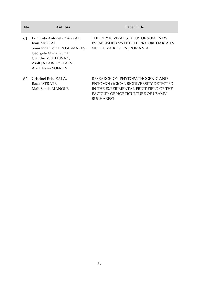| $\mathbf{N}\mathbf{0}$ | Authors                                                                                                                                                             | <b>Paper Title</b>                                                                                                                                                              |
|------------------------|---------------------------------------------------------------------------------------------------------------------------------------------------------------------|---------------------------------------------------------------------------------------------------------------------------------------------------------------------------------|
| 61                     | Luminița Antonela ZAGRAI,<br>Ioan ZAGRAI,<br>Smaranda Doina ROSU-MARES,<br>Georgeta Maria GUZU,<br>Claudiu MOLDOVAN,<br>Zsolt JAKAB-ILYEFALVI,<br>Anca Maria SOFRON | THE PHYTOVIRAL STATUS OF SOME NEW<br>ESTABLISHED SWEET CHERRY ORCHARDS IN<br>MOLDOVA REGION, ROMANIA                                                                            |
| 62                     | Cristinel Relu ZALÁ,<br>Rada ISTRATE,<br>Mali-Sanda MANOLE                                                                                                          | RESEARCH ON PHYTOPATHOGENIC AND<br>ENTOMOLOGICAL BIODIVERSITY DETECTED<br>IN THE EXPERIMENTAL FRUIT FIELD OF THE<br><b>FACULTY OF HORTICULTURE OF USAMV</b><br><b>BUCHAREST</b> |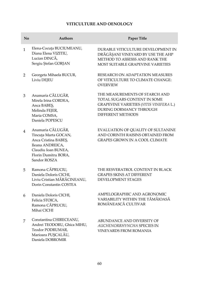# **VITICULTURE AND OENOLOGY**

| No             | <b>Authors</b>                                                                                                                                       | <b>Paper Title</b>                                                                                                                                                      |
|----------------|------------------------------------------------------------------------------------------------------------------------------------------------------|-------------------------------------------------------------------------------------------------------------------------------------------------------------------------|
| $\mathbf{1}$   | Elena-Cocuța BUCIUMEANU,<br>Diana Elena VIZITIU,<br>Lucian DINCĂ,<br>Sergiu Ștefan GORJAN                                                            | DURABLE VITICULTURE DEVELOPMENT IN<br>DRĂGĂȘANI VINEYARD BY USE THE AHP<br>METHOD TO ASSESSS AND RANK THE<br><b>MOST SUITABLE GRAPEVINE VARIETIES</b>                   |
| $\overline{2}$ | Georgeta Mihaela BUCUR,<br>Liviu DEJEU                                                                                                               | RESEARCH ON ADAPTATION MEASURES<br>OF VITICULTURE TO CLIMATE CHANGE:<br><b>OVERVIEW</b>                                                                                 |
| 3              | Anamaria CĂLUGĂR,<br>Mirela Irina CORDEA,<br>Anca BABEŞ,<br>Melinda FEJER,<br>Maria COMSA,<br>Daniela POPESCU                                        | THE MEASUREMENTS OF STARCH AND<br>TOTAL SUGARS CONTENT IN SOME<br><b>GRAPEVINE VARIETIES (VITIS VINIFERA L.)</b><br>DURING DORMANCY THROUGH<br><b>DIFFERENT METHODS</b> |
| 4              | Anamaria CĂLUGĂR,<br>Tincuța Marta GOCAN,<br>Anca Cristina BABES,<br>Ileana ANDREICA,<br>Claudiu Ioan BUNEA,<br>Florin Dumitru BORA,<br>Sandor ROSZA | EVALUATION OF QUALITY OF SULTANINE<br>AND CORINTH RAISINS OBTAINED FROM<br><b>GRAPES GROWN IN A COOL CLIMATE</b>                                                        |
| 5.             | Ramona CĂPRUCIU,<br>Daniela Doloris CICHI,<br>Liviu Cristian MĂRĂCINEANU,<br>Dorin Constantin COSTEA                                                 | THE RESVERATROL CONTENT IN BLACK<br><b>GRAPES SKINS AT DIFFERENT</b><br><b>DEVELOPMENT STAGES</b>                                                                       |
| 6              | Daniela Doloris CICHI,<br>Felicia STOICA,<br>Ramona CĂPRUCIU,<br>Mihai CICHI                                                                         | AMPELOGRAPHIC AND AGRONOMIC<br>VARIABILITY WITHIN THE TĂMÂIOASĂ<br>ROMÂNEASCĂ CULTIVAR                                                                                  |
| 7              | Constantina CHIRECEANU,<br>Andrei TEODORU, Ghica MIHU,<br>Teodor PODRUMAR,<br>Marioara PUȘCALĂU,<br>Daniela DOBROMIR                                 | ABUNDANCE AND DIVERSITY OF<br>AUCHENORRHYNCHA SPECIES IN<br><b>VINEYARDS FROM ROMANIA</b>                                                                               |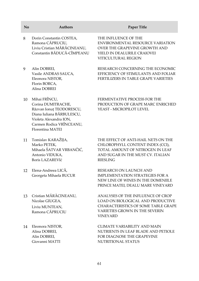| No | <b>Authors</b>                                                                                                                                                         | Paper Title                                                                                                                                                         |
|----|------------------------------------------------------------------------------------------------------------------------------------------------------------------------|---------------------------------------------------------------------------------------------------------------------------------------------------------------------|
| 8  | Dorin Constantin COSTEA,<br>Ramona CĂPRUCIU,<br>Liviu Cristian MĂRĂCINEANU,<br>Constantin BĂDUCĂ-CÎMPEANU                                                              | THE INFLUENCE OF THE<br><b>ENVIRONMENTAL RESOURCE VARIATION</b><br>OVER THE GRAPEVINE GROWTH AND<br>YIELD IN DEALURILE CRAIOVEI<br><b>VITICULTURAL REGION</b>       |
| 9  | Alin DOBREI,<br>Vasile ANDRAS SAUCA,<br>Eleonora NISTOR,<br>Florin BORCA,<br>Alina DOBREI                                                                              | RESEARCH CONCERNING THE ECONOMIC<br>EFFICIENCY OF STIMULANTS AND FOLIAR<br>FERTILIZERS IN TABLE GRAPE VARIETIES                                                     |
| 10 | Mihai FRÎNCU,<br>Corina DUMITRACHE,<br>Răzvan Ionuț TEODORESCU,<br>Diana Iuliana BĂRBULESCU,<br>Violeta Alexandra ION,<br>Carmen Rodica VRÎNCEANU,<br>Florentina MATEI | FERMENTATIVE PROCESS FOR THE<br>PRODUCTION OF GRAPE MARC ENRICHED<br>YEAST - MICROPILOT LEVEL                                                                       |
| 11 | Tomislav KARAŽIJA,<br>Marko PETEK,<br>Mihaela ŠATVAR VRBANČIĆ,<br>Antonio VIDUKA,<br><b>Boris LAZAREVIć</b>                                                            | THE EFFECT OF ANTI-HAIL NETS ON THE<br>CHLOROPHYLL CONTENT INDEX (CCI),<br>TOTAL AMOUNT OF NITROGEN IN LEAF<br>AND SUGAR IN THE MUST CV. ITALIAN<br><b>RIESLING</b> |
| 12 | Elena-Andreea LICĂ,<br>Georgeta Mihaela BUCUR                                                                                                                          | RESEARCH ON LAUNCH AND<br><b>IMPLEMENTATION STRATEGIES FOR A</b><br>NEW LINE OF WINES IN THE DOMENIILE<br>PRINCE MATEI, DEALU MARE VINEYARD                         |
| 13 | Cristian MĂRĂCINEANU,<br>Nicolae GIUGEA,<br>Liviu MUNTEAN,<br>Ramona CĂPRUCIU                                                                                          | ANALYSES OF THE INFLUENCE OF CROP<br>LOAD ON BIOLOGICAL AND PRODUCTIVE<br>CHARACTERISTICS OF SOME TABLE GRAPE<br><b>VARIETIES GROWN IN THE SEVERIN</b>              |

14 Eleonora NISTOR, Alina DOBREI, Alin DOBREI, Giovanni MATTI

CLIMATE VARIABILITY AND MAIN NUTRIENTS IN LEAF BLADE AND PETIOLE FOR DIAGNOSE THE GRAPEVINE NUTRITIONAL STATUS

VINEYARD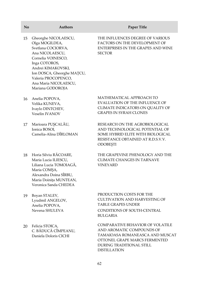| No | <b>Authors</b>                                                                                                                                                                                                                                 | Paper Title                                                                                                                                                   |
|----|------------------------------------------------------------------------------------------------------------------------------------------------------------------------------------------------------------------------------------------------|---------------------------------------------------------------------------------------------------------------------------------------------------------------|
| 15 | Gheorghe NICOLAESCU,<br>Olga MOGILDEA,<br>Svetlana COCIORVA,<br>Ana NICOLAESCU,<br>Cornelia VOINESCO,<br>Inga COTOROS,<br>Andrei KIMAKOVSKI,<br>Ion DOSCA, Gheorghe MAȚCU,<br>Valeria PROCOPENCO,<br>Ana Maria NICOLAESCU,<br>Mariana GODOROJA | THE INFLUENCES DEGREE OF VARIOUS<br>FACTORS ON THE DEVELOPMENT OF<br>ENTERPRISES IN THE GRAPES AND WINE<br><b>SECTOR</b>                                      |
| 16 | Anelia POPOVA,<br>Velika KUNEVA,<br>Ivaylo DINTCHEV,<br>Veselin IVANOV                                                                                                                                                                         | MATHEMATICAL APPROACH TO<br>EVALUATION OF THE INFLUENCE OF<br>CLIMATE INDICATORS ON QUALITY OF<br><b>GRAPES IN SYRAH CLONES</b>                               |
| 17 | Marioara PUȘCALĂU,<br>Ionica BOSOI,<br>Camelia-Alina DÎRLOMAN                                                                                                                                                                                  | RESEARCH ON THE AGROBIOLOGICAL<br>AND TECHNOLOGICAL POTENTIAL OF<br>SOME HYBRID ELITE WITH BIOLOGICAL<br>RESISTANCE OBTAINED AT R.D.S.V.V.<br><b>ODOBESTI</b> |

- 18 Horia Silviu RĂCOARE, Maria Lucia ILIESCU, Liliana Lucia TOMOIAGĂ, Maria COMȘA, Alexandra Doina SÎRBU, Maria Doinița MUNTEAN, Veronica Sanda CHEDEA
- 19 Boyan STALEV, Lyudmil ANGELOV, Anelia POPOVA, Nevena SHULEVA
- 20 Felicia STOICA, C. BĂDUCĂ CÎMPEANU, Daniela Doloris CICHI

THE GRAPEVINE PHENOLOGY AND THE CLIMATE CHANGES IN TARNAVE VINEYARD

PRODUCTION COSTS FOR THE CULTIVATION AND HARVESTING OF TABLE GRAPES UNDER CONDITIONS OF SOUTH-CENTRAL BULGARIA

COMPARATIVE BEHAVIOR OF VOLATILE AND AROMATIC COMPOUNDS OF TAMAIOASA ROMANEASCA AND MUSCAT OTTONEL GRAPE MARCS FERMENTED DURING TRADITIONAL STILL DISTILLATION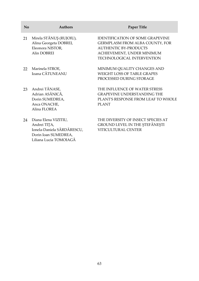| $\mathbf{N}\mathbf{0}$ | <b>Authors</b>                                                                             | Paper Title                                                                                                                                                                   |
|------------------------|--------------------------------------------------------------------------------------------|-------------------------------------------------------------------------------------------------------------------------------------------------------------------------------|
| 21                     | Mirela STĂNUȘ (RUJOIU),<br>Alina Georgeta DOBREI,<br>Eleonora NISTOR,<br>Alin DOBREI       | <b>IDENTIFICATION OF SOME GRAPEVINE</b><br>GERMPLASM FROM ALBA COUNTY, FOR<br><b>AUTHENTIC BY-PRODUCTS</b><br>ACHIEVEMENT, UNDER MINIMUM<br><b>TECHNOLOGICAL INTERVENTION</b> |
| 22                     | Marinela STROE,<br>Ioana CĂTUNEANU                                                         | MINIMUM QUALITY CHANGES AND<br><b>WEIGHT LOSS OF TABLE GRAPES</b><br>PROCESSED DURING STORAGE                                                                                 |
| 23                     | Andrei TĂNASE,<br>Adrian ASĂNICĂ,<br>Dorin SUMEDREA,<br>Anca ONACHE,<br>Alina FLOREA       | THE INFLUENCE OF WATER STRESS<br><b>GRAPEVINE UNDERSTANDING THE</b><br>PLANT'S RESPONSE FROM LEAF TO WHOLE<br><b>PLANT</b>                                                    |
| 24                     | Diana Elena VIZITIU,<br>Andrei TITA,<br>Ionela-Daniela SĂRDĂRESCU,<br>Dorin Ioan SUMEDREA, | THE DIVERSITY OF INSECT SPECIES AT<br>GROUND LEVEL IN THE STEFANESTI<br>VITICULTURAL CENTER                                                                                   |

Liliana Lucia TOMOIAGĂ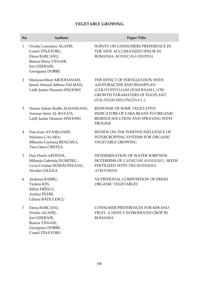# **VEGETABLE GROWING**

| No             | <b>Authors</b>                                                                                                           | Paper Title                                                                                                                                                      |
|----------------|--------------------------------------------------------------------------------------------------------------------------|------------------------------------------------------------------------------------------------------------------------------------------------------------------|
| $\mathbf{1}$   | Ovidia Loredana AGAPIE,<br>Costel VÎNĂTORU,<br>Elena BARCANU,<br>Bianca Elena TĂNASE,<br>Ion GHERASE,<br>Georgiana DOBRE | SURVEY ON CONSUMERS PREFERENCE IN<br>THE NEW ACCLIMATIZED SPECIE IN<br>ROMANIA: BENINCASA HISPIDA                                                                |
| $\overline{2}$ | MansoorAbed ABOOHANAH,<br>Jamal Ahmed Abbass SALMAN,<br>Laith Jaafar Hussein HNOOSH                                      | THE EFFECT OF FERTILIZATION WITH<br>AZOTOBACTER AND SHAMPLAN<br>(CERATOPHYLLUM DEMERSUM L.) ON<br><b>GROWTH PARAMATERS OF EGGPLANT</b><br>(SOLANUM MELONGENA L.) |
| 3              | Nasser Jubair Radhi ALHASNAWI,<br>Ammar Sami AL-BAYATI.<br>Laith Jaafar Hussein HNOOSH                                   | RESPONSE OF SOME VEGETATIVE<br><b>INDICATORS OF FABA BEANS TO ORGANIC</b><br>RESIDUE SOLUTION AND SPRAYING WITH<br><b>PROLINE</b>                                |
| 4              | Dan-Ioan AVASILOAIEI,<br>Mariana CALARA,<br>Mihaela-Carmina BENCHEA.<br>Tina Oana CRISTEA                                | REVIEW ON THE POSITIVE INFLUENCE OF<br><b>INTERCROPPING SYSTEMS FOR ORGANIC</b><br><b>VEGETABLE GROWING</b>                                                      |
| 5              | Dan Florin APOSTOL,<br>Mihaela Gabriela DUMITRU,<br>Liviu Cristian MĂRĂCINEANU,<br>Nicolae GIUGEA                        | DETERMINATION OF WATER SORPTION<br>ISOTHERMS OF CAPSICUM ANNUUM L. SEEDS<br>FERTILIZED WITH TRICHODERMA<br><b>ATROVIRIDE</b>                                     |
| 6              | Andreea BARBU,<br>Violeta ION,<br>Mihai FRÎNCU,<br>Andrei PETRE,<br>Liliana BĂDULESCU                                    | NUTRITIONAL COMPOSITION OF FRESH<br>ORGANIC VEGETABLES                                                                                                           |
| 7              | Elena BARCANU,<br>Ovidia AGAPIE,<br>Ion GHERASE,<br>Bianca TĂNASE,<br>Georgiana DOBRE,<br>Costel VÎNĂTORU                | CONSUMER PREFERENCES FOR KIWANO<br>FRUIT, A NEWLY INTRODUCED CROP IN<br><b>ROMANIA</b>                                                                           |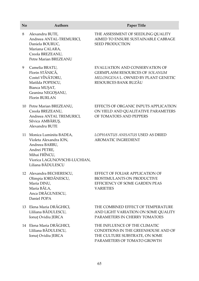# **No Authors Paper Title** 8 Alexandru BUTE,

- Andreea ANTAL-TREMURICI, Daniela BOURUC, Mariana CALARA, Creola BREZEANU, Petre Marian BREZEANU
- 9 Camelia BRATU, Florin STĂNICĂ, Costel VÎNĂTORU, Matilda POPESCU, Bianca MUȘAT, Geanina NEGOȘANU, Florin BURLAN
- 10 Petre Marian BREZEANU, Creola BREZEANU, Andreea ANTAL TREMURICI, Silvica AMBĂRUŞ, Alexandru BUTE
- 11 Monica Luminita BADEA, Violeta Alexandra ION, Andreea BARBU, Andrei PETRE, Mihai FRÎNCU, Viorica LAGUNOVSCHI-LUCHIAN, Liliana BĂDULESCU
- 12 Alexandra BECHERESCU, Olimpia IORDĂNESCU, Maria DINU, Maria BĂLA, Anca DRĂGUNESCU, Daniel POPA
- 13 Elena Maria DRĂGHICI, Lliliana BĂDULESCU, Ionut Ovidiu JERCA
- 14 Elena Maria DRĂGHICI, Lliliana BĂDULESCU, Ionut Ovidiu JERCA

THE ASSESSMENT OF SEEDLING QUALITY AIMED TO ENSURE SUSTAINABLE CABBAGE SEED PRODUCTION

EVALUATION AND CONSERVATION OF GERMPLASM RESOURCES OF *SOLANUM MELONGENA* L. OWNED BY PLANT GENETIC RESOURCES BANK BUZĂU

EFFECTS OF ORGANIC INPUTS APPLICATION ON YIELD AND QUALITATIVE PARAMETERS OF TOMATOES AND PEPPERS

#### *LOPHANTUS ANISATUS* USED AS DRIED AROMATIC INGREDIENT

EFFECT OF FOLIAR APPLICATION OF BIOSTIMULANTS ON PRODUCTIVE EFFICIENCY OF SOME GARDEN PEAS **VARIETIES** 

THE COMBINED EFFECT OF TEMPERATURE AND LIGHT VARIATION ON SOME QUALITY PARAMETERS IN CHERRY TOMATOES

THE INFLUENCE OF THE CLIMATIC CONDITIONS IN THE GREENHOUSE AND OF THE CULTURE SUBSTRATE, ON SOME PARAMETERS OF TOMATO GROWTH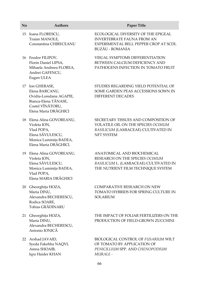#### **No Authors Paper Title**

- 15 Ioana FLORESCU, Traian MANOLE, Constantina CHIRECEANU
- 16 Feodor FILIPOV, Florin Daniel LIPSA, Mihaela Andreea FLOREA, Andrei GAFENCU, Eugen ULEA
- 17 Ion GHERASE, Elena BARCANU, Ovidia-Loredana AGAPIE, Bianca-Elena TĂNASE, Costel VÎNĂTORU, Elena Maria DRĂGHICI
- 18 Elena Alina GOVOREANU, Violeta ION, Vlad POPA, Elena SĂVULESCU, Monica Luminița BADEA, Elena Maria DRĂGHICI.
- 19 Elena Alina GOVOREANU, Violeta ION, Elena SĂVULESCU, Monica Luminița BADEA, Vlad POPA, Elena MARIA DRĂGHICI
- 20 Gheorghița HOZA, Maria DINU, Alexandra BECHERESCU, Rodica SOARE, Tobias GRĂDINARU
- 21 Gheorghița HOZA, Maria DINU, Alexandra BECHERESCU, Antonio IONICĂ
- 22 Arshad JAVAID, Syeda Fakehha NAQVI, Amna SHOAIB, Iqra Haider KHAN

ECOLOGICAL DIVERSITY OF THE EPIGEAL INVERTEBRATE FAUNA FROM AN EXPERIMENTAL BELL PEPPER CROP AT SCDL BUZĂU - ROMANIA

VISUAL SYMPTOMS DIFFERENTIATION BETWEEN CALCIUM DEFICIENCY AND PATHOGENS INFECTION IN TOMATO FRUIT

STUDIES REGARDING YIELD POTENTIAL OF SOME GARDEN PEAS ACCESSIONS SOWN IN DIFFERENT DECADES

SECRETARY TISSUES AND COMPOSITION OF VOLATILE OIL ON THE SPECIES *OCIMUM BASILICUM* (LAMIACEAE) CULTIVATED IN NFT SYSTEM

ANATOMICAL AND BIOCHEMICAL RESEARCH ON THE SPECIES *OCIMUM BASILICUM* L. (LAMIACEAE) CULTIVATED IN THE NUTRIENT FILM TECHNIQUE SYSTEM

COMPARATIVE RESEARCH ON NEW TOMATO HYBRIDS FOR SPRING CULTURE IN SOLARIUM

THE IMPACT OF FOLIAR FERTILIZERS ON THE PRODUCTION OF FIELD-GROWN ZUCCHINI

BIOLOGICAL CONTROL OF *FUSARIUM* WILT OF TOMATO BY APPLICATION OF *PENICILLIUM* SPP. AND *CHENOPODIUM MURALE -*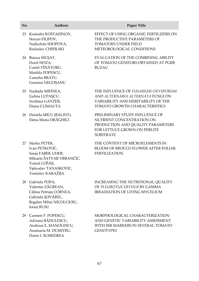| No | <b>Authors</b>                                                                                                                                | Paper Title                                                                                                                                      |
|----|-----------------------------------------------------------------------------------------------------------------------------------------------|--------------------------------------------------------------------------------------------------------------------------------------------------|
| 23 | Kostadin KOSTADINOV,<br>Stoyan FILIPOV,<br>Nadezhda SHOPOVA,<br>Radoslav CHIPILSKI                                                            | EFFECT OF USING ORGANIC FERTILIZERS ON<br>THE PRODUCTIVE PARAMETERS OF<br>TOMATOES UNDER FIELD<br>METEOROLOGICAL CONDITIONS                      |
|    | 24 Bianca MUȘAT,<br>Dorel HOZA,<br>Costel VÎNĂTORU,<br>Matilda POPESCU,<br>Camelia BRATU,<br>Geanina NEGOȘANU                                 | EVALUATION OF THE COMBINING ABILITY<br>OF TOMATO GENITORS OBTAINED AT PGRB<br><b>BUZAU</b>                                                       |
| 25 | Nadejda MIHNEA,<br>Galina LUPAȘCU,<br>Svetlana GAVZER,<br>Diana CLIMAUTA                                                                      | THE INFLUENCE OF FUSARIUM OXYSPORUM<br>AND ALTERNARIA ALTERNATA FUNGI ON<br>VARIABILITY AND HERITABILITY OF THE<br>TOMATO GROWTH CHARACTERISTICS |
|    | 26 Daniela MICU (BALINT),<br>Elena Maria DRĂGHICI                                                                                             | PRELIMINARY STUDY INFLUENCE OF<br>NUTRIENT CONCENTRATION ON<br>PRODUCTION AND QUALITY PARAMETERS<br>FOR LETTUCE GROWN ON PERLITE<br>SUBSTRATE    |
| 27 | Marko PETEK,<br>Ivan PETKOVIĆ,<br>Sanja FABEK UHER,<br>Mihaela ŠATVAR VRBANČIĆ,<br>Tomaš LOŠÁK,<br>Vjekoslav TANASKOVIC,<br>Tomislav KARAŽIJA | THE CONTENT OF MICROELEMENTS IN<br>BLOOM OF BROCCO FLOWER AFTER FOLIAR<br><b>FERTILIZATION</b>                                                   |
| 28 | Gabriela POPA,<br>Valentin ZĂGREAN,<br>Călina Petruța CORNEA,<br>Gabriela SOVĂREL,<br>Bogdan Mihai NICOLCIOIU,<br>Ionuț RUSU                  | INCREASING THE NUTRITIONAL QUALITY<br>OF PLEUROTUS ERYNGII BY GAMMA<br><b>IRRADIATION OF LIVING MYCELIUM</b>                                     |
|    | 29 Carmen F. POPESCU,<br>Adriana BĂDULESCU,<br>Andreea E. MANOLESCU,<br>Anamaria M. DUMITRU,<br>Dorin I. SUMEDREA                             | MORPHOLOGICAL CHARACTERIZATION<br>AND GENETIC VARIABILITY ASSESSMENT<br>WITH SSR MARKERS IN SEVERAL TOMATO<br><b>GENOTYPES</b>                   |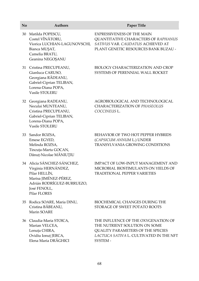| No | <b>Authors</b>                                                                                                                                            | Paper Title                                                                                                                                                             |
|----|-----------------------------------------------------------------------------------------------------------------------------------------------------------|-------------------------------------------------------------------------------------------------------------------------------------------------------------------------|
| 30 | Matilda POPESCU,<br>Costel VÎNĂTORU,<br>Viorica LUCHIAN-LAGUNOVSCHI,<br>Bianca MUȘAT,<br>Camelia BRATU,<br>Geanina NEGOȘANU                               | <b>EXPRESSIVENESS OF THE MAIN</b><br>QUANTITATIVE CHARACTERS OF RAPHANUS<br>SATIVUS VAR. CAUDATUS ACHIEVED AT<br>PLANT GENETIC RESOURCES BANK BUZAU -                   |
|    | 31 Cristina PRECUPEANU,<br>Gianluca CARUSO,<br>Georgiana RĂDEANU,<br>Gabriel-Ciprian TELIBAN,<br>Lorena-Diana POPA,<br>Vasile STOLERU                     | <b>BIOLOGY CHARACTERIZATION AND CROP</b><br>SYSTEMS OF PERENNIAL WALL ROCKET                                                                                            |
|    | 32 Georgiana RADEANU,<br>Neculai MUNTEANU,<br>Cristina PRECUPEANU,<br>Gabriel-Ciprian TELIBAN,<br>Lorena-Diana POPA,<br>Vasile STOLERU                    | AGROBIOLOGICAL AND TECHNOLOGICAL<br>CHARACTERIZATION OF PHASEOLUS<br>COCCINEUS L.                                                                                       |
|    | 33 Sandor ROZSA,<br>Emese EGYED,<br>Melinda ROZSA,<br>Tincuța-Marta GOCAN,<br>Dănuț-Nicolae MĂNIUȚIU                                                      | BEHAVIOR OF TWO HOT PEPPER HYBRIDS<br>(CAPSICUM ANNUM L.) UNDER<br><b>TRANSYLVANIA GROWING CONDITIONS</b>                                                               |
|    | 34 Alicia SÁNCHEZ-SÁNCHEZ,<br>Virginia HERNÁNDEZ,<br>Pilar HELLÍN,<br>Marisa JIMÉNEZ-PÉREZ,<br>Adrián RODRÍGUEZ-BURRUEZO,<br>José FENOLL,<br>Pilar FLORES | IMPACT OF LOW-INPUT MANAGEMENT AND<br>MICROBIAL BIOSTIMULANTS ON YIELDS OF<br>TRADITIONAL PEPPER VARIETIES                                                              |
| 35 | Rodica SOARE, Maria DINU,<br>Cristina BĂBEANU,<br>Marin SOARE                                                                                             | <b>BIOCHEMICAL CHANGES DURING THE</b><br>STORAGE OF SWEET POTATO ROOTS                                                                                                  |
|    | 36 Claudia-Maria STOICA,<br>Marian VELCEA,<br>Lenuța CHIRA,<br>Ovidiu Ionuț JERCA,<br>Elena Maria DRĂGHICI                                                | THE INFLUENCE OF THE OXYGENATION OF<br>THE NUTRIENT SOLUTION ON SOME<br><b>QUALITY PARAMETERS OF THE SPECIES</b><br>LACTUCA SATIVA L. CULTIVATED IN THE NFT<br>SYSTEM - |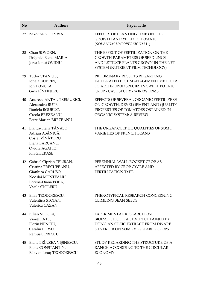| No | <b>Authors</b>                                                                                                                       | <b>Paper Title</b>                                                                                                                                         |
|----|--------------------------------------------------------------------------------------------------------------------------------------|------------------------------------------------------------------------------------------------------------------------------------------------------------|
|    | 37 Nikolina SHOPOVA                                                                                                                  | EFFECTS OF PLANTING TIME ON THE<br><b>GROWTH AND YIELD OF TOMATO</b><br>(SOLANUM LYCOPERSICUM L.)                                                          |
|    | 38 Chan SOVORN,<br>Drăghici Elena MARIA,<br>Jerca Ionut OVIDIU                                                                       | THE EFFECT OF FERTILIZATION ON THE<br><b>GROWTH PARAMETERS OF SEEDLINGS</b><br>AND LETTUCE PLANTS GROWN IN THE NFT<br>SYSTEM (NUTRIENT FILM TECHOLOGY)     |
| 39 | Tudor STANCIU,<br>Ionela DOBRIN,<br>Ion TONCEA,<br>Gina FÎNTÎNERU                                                                    | PRELIMINARY RESULTS REGARDING<br><b>INTEGRATED PEST MANAGEMENT METHODS</b><br>OF ARTHROPOD SPECIES IN SWEET POTATO<br><b>CROP - CASE STUDY - WIREWORMS</b> |
| 40 | Andreea ANTAL-TREMURICI,<br>Alexandru BUTE,<br>Daniela BOURUC,<br>Creola BREZEANU,<br>Petre Marian BREZEANU                          | EFFECTS OF SEVERAL ORGANIC FERTILIZERS<br>ON GROWTH, DEVELOPMENT AND QUALITY<br>PROPERTIES OF TOMATOES OBTAINED IN<br><b>ORGANIC SYSTEM: A REVIEW</b>      |
|    | 41 Bianca-Elena TĂNASE,<br>Adrian ASĂNICĂ,<br>Costel VÎNĂTORU,<br>Elena BARCANU,<br>Ovidia AGAPIE,<br><b>Ion GHERASE</b>             | THE ORGANOLEPTIC QUALITIES OF SOME<br><b>VARIETIES OF FRENCH BEANS</b>                                                                                     |
|    | 42 Gabriel Ciprian TELIBAN,<br>Cristina PRECUPEANU,<br>Gianluca CARUSO,<br>Neculai MUNTEANU,<br>Lorena-Diana POPA,<br>Vasile STOLERU | PERENNIAL WALL ROCKET CROP AS<br>AFFECTED BY CROP CYCLE AND<br>FERTILIZATION TYPE                                                                          |
| 43 | Eliza TEODORESCU,<br>Valentina STOIAN.<br>Valerica CAZAN                                                                             | PHENOTYPICAL RESEARCH CONCERNING<br><b>CLIMBING BEAN SEEDS</b>                                                                                             |
|    | 44 Iulian VOICEA,<br>Viorel FATU,<br>Florin NENCIU,<br>Catalin PERSU,<br>Remus OPRESCU                                               | EXPERIMENTAL RESEARCH ON<br><b>BIOINSECTICIDE ACTIVITY OBTAINED BY</b><br>USING AN OLEIC EXTRACT FROM DWARF<br>SILVER FIR ON SOME VEGETABLE CROPS          |
|    | 45 Elena BRÎNZEA VIŞINESCU,<br>Elena CONSTANTIN,<br>Răzvan Ionuț TEODORESCU                                                          | STUDY REGARDING THE STRUCTURE OF A<br>RANCH ACCORDING TO THE CIRCULAR<br><b>ECONOMY</b>                                                                    |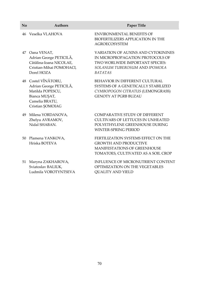| No | <b>Authors</b>                                                                                                                   | <b>Paper Title</b>                                                                                                                                                   |
|----|----------------------------------------------------------------------------------------------------------------------------------|----------------------------------------------------------------------------------------------------------------------------------------------------------------------|
| 46 | Veselka VLAHOVA                                                                                                                  | <b>ENVIRONMENTAL BENEFITS OF</b><br>BIOFERTILIZERS APPLICATION IN THE<br><b>AGROECOSYSTEM</b>                                                                        |
| 47 | Oana VENAT,<br>Adrian George PETICILĂ,<br>Cătălina-Ioana NICOLAE,<br>Cristian-Mihai POMOHACI,<br>Dorel HOZA                      | <b>VARIATION OF AUXINS AND CYTOKININES</b><br>IN MICROPROPAGATION PROTOCOLS OF<br>TWO WORLWIDE IMPORTANT SPECIES:<br>SOLANUM TUBEROSUM AND IPOMOEA<br><b>BATATAS</b> |
|    | 48 Costel VÎNĂTORU,<br>Adrian George PETICILĂ,<br>Matilda POPESCU,<br>Bianca MUȘAT,<br>Camelia BRATU,<br>Cristian <b>SOMOIAG</b> | BEHAVIOR IN DIFFERENT CULTURAL<br>SYSTEMS OF A GENETICALLY STABILIZED<br>CYMBOPOGON CITRATUS (LEMONGRASS)<br><b>GENOTY AT PGRB BUZAU</b>                             |
| 49 | Milena YORDANOVA,<br>Zhelyu AVRAMOV,<br>Nidal SHABAN.                                                                            | <b>COMPARATIVE STUDY OF DIFFERENT</b><br><b>CULTIVARS OF LETTUCES IN UNHEATED</b><br>POLYETHYLENE GREENHOUSE DURING<br><b>WINTER-SPRING PERIOD</b>                   |
| 50 | Plamena YANKOVA,<br>Hriska BOTEVA                                                                                                | FERTILIZATION SYSTEMS EFFECT ON THE<br><b>GROWTH AND PRODUCTIVE</b><br><b>MANIFESTATIONS OF GREENHOUSE</b><br>TOMATOES, CULTIVATED AS A SOIL CROP                    |
| 51 | Maryna ZAKHAROVA,<br>Sviatoslav BALIUK,<br>Ludmila VOROTYNTSEVA                                                                  | <b>INFLUENCE OF MICRONUTRIENT CONTENT</b><br>OPTIMIZATION ON THE VEGETABLES<br><b>QUALITY AND YIELD</b>                                                              |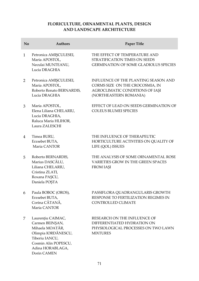# **FLORICULTURE, ORNAMENTAL PLANTS, DESIGN AND LANDSCAPE ARCHITECTURE**

| No             | <b>Authors</b>                                                                                                                                              | Paper Title                                                                                                                          |
|----------------|-------------------------------------------------------------------------------------------------------------------------------------------------------------|--------------------------------------------------------------------------------------------------------------------------------------|
| $\mathbf{1}$   | Petronica AMIŞCULESEI,<br>Maria APOSTOL,<br>Neculai MUNTEANU,<br>Lucia DRAGHIA                                                                              | THE EFFECT OF TEMPERATURE AND<br>STRATIFICATION TIMES ON SEEDS<br>GERMINATION OF SOME GLADIOLUS SPECIES                              |
| $\overline{2}$ | Petronica AMIŞCULESEI,<br>Maria APOSTOL,<br>Roberto Renato BERNARDIS,<br>Lucia DRAGHIA                                                                      | INFLUENCE OF THE PLANTING SEASON AND<br>CORMS SIZE ON THE CROCOSMIA, IN<br>AGROCLIMATIC CONDITIONS OF IAŞI<br>(NORTHEASTERN ROMANIA) |
| 3              | Maria APOSTOL,<br>Elena Liliana CHELARIU,<br>Lucia DRAGHIA,<br>Raluca Maria HLIHOR,<br>Laura ZALESCHI                                                       | EFFECT OF LEAD ON SEEDS GERMINATION OF<br><b>COLEUS BLUMEI SPECIES</b>                                                               |
| 4              | Timea BURU,<br>Erzsebet BUTA,<br>Maria CANTOR                                                                                                               | THE INFLUENCE OF THERAPEUTIC<br>HORTICULTURE ACTIVITIES ON QUALITY OF<br>LIFE (QOL) ISSUES                                           |
| 5              | Roberto BERNARDIS,<br>Marius DASCĂLU,<br>Liliana CHELARIU,<br>Cristina ZLATI,<br>Roxana PAȘCU,<br>Daniela POȘTA                                             | THE ANALYSIS OF SOME ORNAMENTAL ROSE<br>VARIETIES GROW IN THE GREEN SPACES<br>FROM IAŞI                                              |
| 6              | Paula BOBOC (OROS),<br>Erzsebet BUTA,<br>Corina CĂTANĂ,<br>Maria CANTOR                                                                                     | PASSIFLORA QUADRANGULARIS GROWTH<br>RESPONSE TO FERTILIZATION REGIMES IN<br>CONTROLLED CLIMATE                                       |
| 7              | Laurențiu CAIMAC,<br>Carmen BEINȘAN,<br>Mihaela MOATĂR,<br>Olimpia IORDĂNESCU,<br>Tiberiu IANCU,<br>Cosmin Alin POPESCU,<br>Adina HORABLAGA,<br>Dorin CAMEN | RESEARCH ON THE INFLUENCE OF<br>DIFFERENTIATED HYDRATION ON<br>PHYSIOLOGICAL PROCESSES ON TWO LAWN<br><b>MIXTURES</b>                |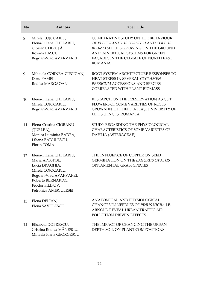| No | <b>Authors</b>                                                                                                                                                               | Paper Title                                                                                                                                                                                                                    |
|----|------------------------------------------------------------------------------------------------------------------------------------------------------------------------------|--------------------------------------------------------------------------------------------------------------------------------------------------------------------------------------------------------------------------------|
| 8  | Mirela COJOCARIU,<br>Elena-Liliana CHELARIU,<br>Ciprian CHIRUȚĂ,<br>Roxana PAȘCU,<br>Bogdan-Vlad AVARVAREI                                                                   | <b>COMPARATIVE STUDY ON THE BEHAVIOUR</b><br>OF PLECTRANTHUS FORSTERI AND COLEUS<br><b>BLUMEI SPECIES GROWING ON THE GROUND</b><br>AND IN VERTICAL SYSTEMS FOR GREEN<br>FAÇADES IN THE CLIMATE OF NORTH EAST<br><b>ROMANIA</b> |
| 9  | Mihaiela CORNEA-CIPCIGAN,<br>Doru PAMFIL,<br>Rodica MARGAOAN                                                                                                                 | ROOT SYSTEM ARCHITECTURE RESPONSES TO<br>HEAT STRESS IN SEVERAL CYCLAMEN<br>PERSICUM ACCESSIONS AND SPECIES<br>CORRELATED WITH PLANT BIOMASS                                                                                   |
| 10 | Elena-Liliana CHELARIU,<br>Mirela COJOCARIU,<br>Bogdan-Vlad AVARVAREI                                                                                                        | RESEARCH ON THE PRESERVATION AS CUT<br>FLOWERS OF SOME VARIETIES OF ROSES<br>GROWN IN THE FIELD AT IAȘI UNIVERSITY OF<br>LIFE SCIENCES, ROMANIA                                                                                |
| 11 | Elena-Cristina CIOBANU<br>(ȚURLEA),<br>Monica Luminița BADEA,<br>Liliana BĂDULESCU,<br>Florin TOMA                                                                           | STUDY REGARDING THE PHYSIOLOGICAL<br>CHARACTERISTICS OF SOME VARIETIES OF<br>DAHLIA (ASTERACEAE)                                                                                                                               |
| 12 | Elena-Liliana CHELARIU,<br>Maria APOSTOL,<br>Lucia DRAGHIA,<br>Mirela COJOCARIU,<br>Bogdan-Vlad AVARVAREI,<br>Roberto BERNARDIS,<br>Feodor FILIPOV,<br>Petronica AMISCULESEI | THE INFLUENCE OF COPPER ON SEED<br>GERMINATION ON THE LAGURUS OVATUS<br>ORNAMENTAL GRASS SPECIES                                                                                                                               |
| 13 | Elena DELIAN,<br>Elena SĂVULESCU                                                                                                                                             | ANATOMICAL AND PHYSIOLOGICAL<br>CHANGES IN NEEDLES OF PINUS NIGRA J.F.<br>ARNOLD REVEAL URBAN TRAFFIC AIR<br>POLLUTION DRIVEN EFFECTS                                                                                          |
| 14 | Elisabeta DOBRESCU,<br>Cristina Rodica MĂNESCU,<br>Mihaela Ioana GEORGESCU                                                                                                   | THE IMPACT OF CHANGING THE URBAN<br>DEPTH SOIL ON PLANT COMPOSITIONS                                                                                                                                                           |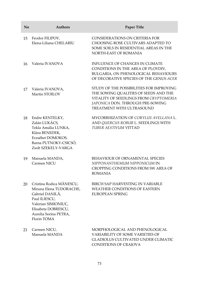| No | <b>Authors</b>                                                                                                                                                                | <b>Paper Title</b>                                                                                                                                                                                  |
|----|-------------------------------------------------------------------------------------------------------------------------------------------------------------------------------|-----------------------------------------------------------------------------------------------------------------------------------------------------------------------------------------------------|
| 15 | Feodor FILIPOV,<br>Elena-Liliana CHELARIU                                                                                                                                     | CONSIDERATIONS ON CRITERIA FOR<br>CHOOSING ROSE CULTIVARS ADAPTED TO<br>SOME SOILS IN RESIDENTIAL AREAS IN THE<br>NORTH-EAST OF ROMANIA                                                             |
| 16 | Valeria IVANOVA                                                                                                                                                               | INFLUENCE OF CHANGES IN CLIMATE<br>CONDITIONS IN THE AREA OF PLOVDIV,<br>BULGARIA, ON PHENOLOGICAL BEHAVIOURS<br>OF DECORATIVE SPECIES OF THE GENUS ACER                                            |
| 17 | Valeria IVANOVA,<br>Martin STOILOV                                                                                                                                            | STUDY OF THE POSSIBILITIES FOR IMPROVING<br>THE SOWING QUALITIES OF SEEDS AND THE<br>VITALITY OF SEEDLINGS FROM CRYPTOMERIA<br>JAPONICA DON. THROUGH PRE-SOWING<br><b>TREATMENT WITH ULTRASOUND</b> |
| 18 | Endre KENTELKY,<br>Zalán LUKÁCS,<br>Tekla Amália LUNKA,<br>Klára BENEDEK,<br>Erzsébet DOMOKOS,<br>Barna PUTNOKY-CSICSÓ,<br>Zsolt SZEKELY-VARGA                                | MYCORRHIZATION OF CORYLUS AVELLANA L.<br>AND QUERCUS ROBUR L. SEEDLINGS WITH<br>TUBER AESTIVUM VITTAD                                                                                               |
| 19 | Manuela MANDA,<br>Carmen NICU                                                                                                                                                 | BEHAVIOUR OF ORNAMENTAL SPECIES<br>NIPPONANTHEMUM NIPPONICUM IN<br>CROPPING CONDITIONS FROM SW AREA OF<br><b>ROMANIA</b>                                                                            |
| 20 | Cristina Rodica MĂNESCU,<br>Miruna Elena TUDORACHE,<br>Gabriel DANILĂ,<br>Paul ILIESCU,<br>Valerian SIMIONIUC,<br>Elisabeta DOBRESCU,<br>Aurelia Sorina PETRA,<br>Florin TOMA | BIRCH SAP HARVESTING IN VARIABLE<br><b>WEATHER CONDITIONS OF EASTERN</b><br><b>EUROPEAN SPRING</b>                                                                                                  |
| 21 | Carmen NICU,<br>Manuela MANDA                                                                                                                                                 | MORPHOLOGICAL AND PHENOLOGICAL<br>VARIABILITY OF SOME VARIETIES OF<br><b>GLADIOLUS CULTIVATED UNDER CLIMATIC</b><br><b>CONDITIONS OF CRAIOVA</b>                                                    |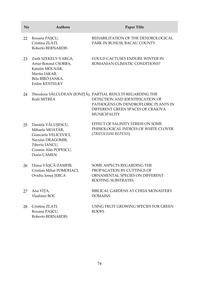| No | <b>Authors</b>                                                                                                                               | Paper Title                                                                                                                                                                                      |
|----|----------------------------------------------------------------------------------------------------------------------------------------------|--------------------------------------------------------------------------------------------------------------------------------------------------------------------------------------------------|
| 22 | Roxana PAȘCU,<br>Cristina ZLATI,<br>Roberto BERNARDIS                                                                                        | REHABILITATION OF THE DENDROLOGICAL<br>PARK IN BUHUSI, BACAU COUNTY                                                                                                                              |
| 23 | Zsolt SZEKELY-VARGA,<br>Artúr-Botond CSORBA,<br>Katalin MOLNÁR,<br>Martin IAKAB,<br>Béla BIRÓ-JANKA,<br><b>Endre KENTELKY</b>                | COULD CACTUSES ENDURE WINTER IN<br>ROMANIAN CLIMATIC CONDITIONS?                                                                                                                                 |
| 24 | Rodi MITREA                                                                                                                                  | Theodora SĂLCUDEAN (IONIȚĂ), PARTIAL RESULTS REGARDING THE<br>DETECTION AND IDENTIFICATION OF<br>PATHOGENS ON DENDROFLORIC PLANTS IN<br>DIFFERENT GREEN SPACES OF CRAIOVA<br><b>MUNICIPALITY</b> |
| 25 | Daniela VĂLUȘESCU,<br>Mihaela MOATĂR,<br>Giancarla VELICEVICI,<br>Neculai DRAGOMIR,<br>Tiberiu IANCU,<br>Cosmin Alin POPESCU,<br>Dorin CAMEN | EFFECT OF SALINITY STRESS ON SOME<br>PHISIOLOGICAL INDICES OF WHITE CLOVER<br>(TRIFOLIUM REPENS)                                                                                                 |
| 26 | Diana VÂȘCĂ-ZAMFIR,<br>Cristian Mihai POMOHACI,<br>Ovidiu Ionuț JERCA                                                                        | SOME ASPECTS REGARDING THE<br>PROPAGATION BY CUTTINGS OF<br>ORNAMENTAL SPECIES ON DIFFERENT<br>ROOTING SUBSTRATES                                                                                |
| 27 | Ana VIȚA,<br>Vladimir BOC                                                                                                                    | BIBLICAL GARDENS AT CHEIA MONASTERY<br><b>DOMAINS</b>                                                                                                                                            |
| 28 | Cristina ZLATI,<br>Roxana PAȘCU,<br>Roberto BERNARDIS                                                                                        | USING FRUIT GROWING SPECIES FOR GREEN<br><b>ROOFS</b>                                                                                                                                            |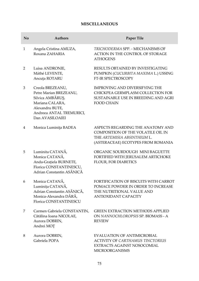# **MISCELLANEOUS**

| No           | <b>Authors</b>                                                                                                                                      | Paper Tile                                                                                                                                   |
|--------------|-----------------------------------------------------------------------------------------------------------------------------------------------------|----------------------------------------------------------------------------------------------------------------------------------------------|
| $\mathbf{1}$ | Angela Cristina AMUZA,<br>Roxana ZAHARIA                                                                                                            | TRICHODERMA SPP. - MECHANISMS OF<br>ACTION IN THE CONTROL OF STORAGE<br><b>ATHOGENS</b>                                                      |
| 2            | Luisa ANDRONIE,<br>Máthé LEVENTE,<br>Ancuța ROTARU                                                                                                  | RESULTS OBTAINED BY INVESTIGATING<br>PUMPKIN (CUCURBITA MAXIMA L.) USSING<br>FT-IR SPECTROSCOPY                                              |
| 3            | Creola BREZEANU,<br>Petre Marian BREZEANU,<br>Silvica AMBĂRUȘ,<br>Mariana CALARA,<br>Alexandru BUTE,<br>Andreea ANTAL TREMURICI,<br>Dan AVASILOAIEI | IMPROVING AND DIVERSIFYING THE<br>CHICKPEA GERMPLASM COLLECTION FOR<br>SUSTAINABLE USE IN BREEDING AND AGRI<br><b>FOOD CHAIN</b>             |
| 4            | Monica Luminița BADEA                                                                                                                               | ASPECTS REGARDING THE ANATOMY AND<br>COMPOSITION OF THE VOLATILE OIL IN<br>THE ARTEMISIA ABSINTHIUM L.<br>(ASTERACEAE) ECOTYPES FROM ROMANIA |
| 5            | Luminita CATANĂ,<br>Monica CATANĂ,<br>Anda-Grațiela BURNETE,<br>Florica CONSTANTINESCU,<br>Adrian Constantin ASĂNICĂ                                | ORGANIC SOURDOUGH MINI BAGUETTE<br>FORTIFIED WITH JERUSALEM ARTICHOKE<br>FLOUR, FOR DIABETICS                                                |
| 6            | Monica CATANĂ,<br>Luminița CATANĂ,<br>Adrian Constantin ASĂNICĂ,<br>Monica-Alexandra DÂRĂ,<br>Florica CONSTANTINESCU                                | FORTIFICATION OF BISCUITS WITH CARROT<br>POMACE POWDER IN ORDER TO INCREASE<br>THE NUTRITIONAL VALUE AND<br><b>ANTIOXIDANT CAPACITY</b>      |
| 7            | Carmen Gabriela CONSTANTIN,<br>Cătălina Ioana NICOLAE,<br>Aurora DOBRIN,<br>Andrei MOȚ                                                              | <b>GREEN EXTRACTION METHODS APPLIED</b><br>ON NANNOCHLOROPSIS SP. BIOMASS - A<br><b>REVIEW</b>                                               |
| 8            | Aurora DOBRIN,<br>Gabriela POPA                                                                                                                     | <b>EVALUATION OF ANTIMICROBIAL</b><br><b>ACTIVITY OF CARTHAMUS TINCTORIUS</b><br>EXTRACTS AGAINST NOSOCOMIAL<br><b>MICROORGANISMS</b>        |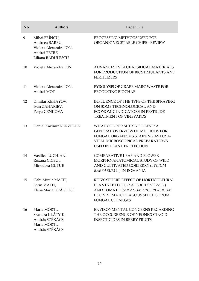| No | <b>Authors</b>                                                                                  | Paper Tile                                                                                                                                                                           |
|----|-------------------------------------------------------------------------------------------------|--------------------------------------------------------------------------------------------------------------------------------------------------------------------------------------|
| 9  | Mihai FRÎNCU,<br>Andreea BARBU,<br>Violeta Alexandra ION,<br>Andrei PETRE,<br>Liliana BĂDULESCU | PROCESSING METHODS USED FOR<br>ORGANIC VEGETABLE CHIPS - REVIEW                                                                                                                      |
| 10 | Violeta Alexandra ION                                                                           | ADVANCES IN BLUE RESIDUAL MATERIALS<br>FOR PRODUCTION OF BIOSTIMULANTS AND<br><b>FERTILIZERS</b>                                                                                     |
| 11 | Violeta Alexandra ION,<br>Andrei MOT                                                            | PYROLYSIS OF GRAPE MARC WASTE FOR<br>PRODUCING BIOCHAR                                                                                                                               |
| 12 | Dimitar KEHAYOV,<br>Ivan ZAHARIEV,<br>Petya GENKOVA                                             | INFLUENCE OF THE TYPE OF THE SPRAYING<br>ON SOME TECHNOLOGICAL AND<br><b>ECONOMIC INDICATORS IN PESTICIDE</b><br><b>TREATMENT OF VINEYARDS</b>                                       |
| 13 | Daniel Kazimir KURZELUK                                                                         | WHAT COLOUR SUITS YOU BEST? A<br><b>GENERAL OVERVIEW OF METHODS FOR</b><br>FUNGAL ORGANISMS STAINING AS POST-<br>VITAL MICROSCOPICAL PREPARATIONS<br><b>USED IN PLANT PROTECTION</b> |
| 14 | Vasilica LUCHIAN,<br>Roxana CICEOI,<br>Minodora GUTUE                                           | <b>COMPARATIVE LEAF AND FLOWER</b><br>MORPHO-ANATOMICAL STUDY OF WILD<br>AND CULTIVATED GOJIBERRY (LYCIUM<br>BARBARUM L.) IN ROMANIA                                                 |
| 15 | Gabi-Mirela MATEI,<br>Sorin MATEI,<br>Elena Maria DRĂGHICI                                      | RHIZOSPHERE EFFECT OF HORTICULTURAL<br>PLANTS LETTUCE (LACTUCA SATIVA L.)<br>AND TOMATO (SOLANUM LYCOPERSICUM<br>L.) ON NEMATOPHAGOUS SPECIES FROM<br><b>FUNGAL COENOSES</b>         |
| 16 | Mária MÖRTL,<br>Szandra KLÁTYIK,<br>András SZÉKÁCS,<br>Mária MÖRTL,<br>András SZÉKÁCS           | ENVIRONMENTAL CONCERNS REGARDING<br>THE OCCURRENCE OF NEONICOTINOID<br><b>INSECTICIDES IN BERRY FRUITS</b>                                                                           |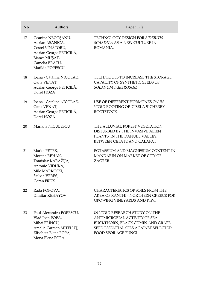| No | <b>Authors</b>                                                                                                                            | Paper Tile                                                                                                                                                         |
|----|-------------------------------------------------------------------------------------------------------------------------------------------|--------------------------------------------------------------------------------------------------------------------------------------------------------------------|
| 17 | Geanina NEGOȘANU,<br>Adrian ASĂNICĂ,<br>Costel VÎNĂTORU,<br>Adrian George PETICILĂ,<br>Bianca MUȘAT,<br>Camelia BRATU,<br>Matilda POPESCU | TECHNOLOGY DESIGN FOR SIDERITIS<br>SCARDICA AS A NEW CULTURE IN<br>ROMANIA.                                                                                        |
| 18 | Ioana - Cătălina NICOLAE,<br>Oana VENAT,<br>Adrian George PETICILĂ,<br>Dorel HOZA                                                         | TECHNIQUES TO INCREASE THE STORAGE<br>CAPACITY OF SYNTHETIC SEEDS OF<br>SOLANUM TUBEROSUM                                                                          |
| 19 | Ioana - Cătălina NICOLAE,<br>Oana VENAT,<br>Adrian George PETICILĂ,<br>Dorel HOZA                                                         | USE OF DIFFERENT HORMONES ON IN<br>VITRO ROOTING OF 'GISELA 5' CHERRY<br><b>ROOTSTOCK</b>                                                                          |
| 20 | Mariana NICULESCU                                                                                                                         | THE ALLUVIAL FOREST VEGETATION<br>DISTURBED BY THE INVASIVE ALIEN<br>PLANTS, IN THE DANUBE VALLEY,<br>BETWEEN CETATE AND CALAFAT                                   |
| 21 | Marko PETEK,<br>Morana REHAK,<br>Tomislav KARAŽIJA,<br>Antonio VIDUKA,<br>Mile MARKOSKI,<br>Szilvia VERES,<br><b>Goran FRUK</b>           | POTASSIUM AND MAGNESIUM CONTENT IN<br>MANDARIN ON MARKET OF CITY OF<br><b>ZAGREB</b>                                                                               |
| 22 | Rada POPOVA,<br>Dimitar KEHAYOV                                                                                                           | CHARACTERISTICS OF SOILS FROM THE<br>AREA OF XANTHI - NORTHERN GREECE FOR<br><b>GROWING VINEYARDS AND KIWI</b>                                                     |
| 23 | Paul-Alexandru POPESCU,<br>Vlad Ioan POPA,<br>Mihai FRÎNCU,<br>Amalia Carmen MITELUȚ,<br>Elisabeta Elena POPA,                            | IN VITRO RESEARCH STUDY ON THE<br>ANTIMICROBIAL ACTIVITY OF SEA<br>BUCKTHORN, BLACK CUMIN AND GRAPE<br>SEED ESSENTIAL OILS AGAINST SELECTED<br>FOOD SPOILAGE FUNGI |

Mona Elena POPA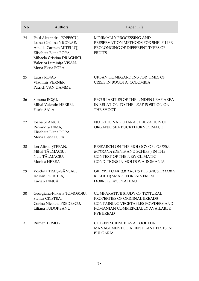| No | <b>Authors</b>                                                                                                                                                                     | Paper Tile                                                                                                                                                        |
|----|------------------------------------------------------------------------------------------------------------------------------------------------------------------------------------|-------------------------------------------------------------------------------------------------------------------------------------------------------------------|
| 24 | Paul Alexandru POPESCU,<br>Ioana-Cătălina NICOLAE,<br>Amalia Carmen MITELUȚ,<br>Elisabeta Elena POPA,<br>Mihaela Cristina DRĂGHICI,<br>Valerica Luminița VIȘAN,<br>Mona Elena POPA | MINIMALLY PROCESSING AND<br>PRESERVATION METHODS FOR SHELF-LIFE<br>PROLONGING OF DIFFERENT TYPES OF<br><b>FRUITS</b>                                              |
| 25 | Laura ROJAS,<br>Vladimir VERNER,<br>Patrick VAN DAMME                                                                                                                              | URBAN HOMEGARDENS FOR TIMES OF<br>CRISIS IN BOGOTA, COLOMBIA                                                                                                      |
| 26 | Simona ROŞU,<br>Mihai Valentin HERBEI,<br>Florin SALA                                                                                                                              | PECULIARITIES OF THE LINDEN LEAF AREA<br>IN RELATION TO THE LEAF POSITION ON<br>THE SHOOT                                                                         |
| 27 | Ioana STANCIU,<br>Ruxandra DIMA,<br>Elisabeta Elena POPA,<br>Mona Elena POPA                                                                                                       | NUTRITIONAL CHARACTERIZATION OF<br>ORGANIC SEA BUCKTHORN POMACE                                                                                                   |
| 28 | Ion Alfred STEFAN,<br>Mihai TĂLMACIU,<br>Nela TĂLMACIU,<br>Monica HEREA                                                                                                            | RESEARCH ON THE BIOLOGY OF LOBESIA<br>BOTRANA (DENIS AND SCHIFF.) IN THE<br>CONTEXT OF THE NEW CLIMATIC<br>CONDITIONS IN MOLDOVA-ROMANIA                          |
| 29 | Voichița TIMIȘ-GÂNSAC,<br>Adrian PETICILĂ,<br>Lucian DINCĂ                                                                                                                         | GREYISH OAK (QUERCUS PEDUNCULIFLORA<br>K. KOCH) SMART FORESTS FROM<br>DOBROGEA'S PLATEAU                                                                          |
| 30 | Georgiana-Roxana TOMOȘOIU,<br>Stelica CRISTEA,<br>Corina Nicoleta PREDESCU,<br>Liliana TUDOREANU                                                                                   | <b>COMPARATIVE STUDY OF TEXTURAL</b><br>PROPERTIES OF ORIGINAL BREADS<br>CONTAINING VEGETABLES POWDERS AND<br>ROMANIAN COMMERCIALLY AVAILABLE<br><b>RYE BREAD</b> |
| 31 | Rumen TOMOV                                                                                                                                                                        | CITIZEN SCIENCE AS A TOOL FOR<br><b>MANAGEMENT OF ALIEN PLANT PESTS IN</b><br><b>BULGARIA</b>                                                                     |